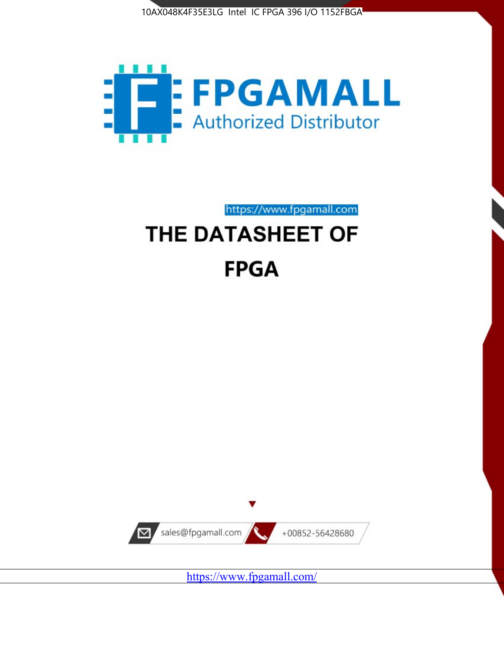



# https://www.fpgamall.com THE DATASHEET OF **FPGA**



<https://www.fpgamall.com/>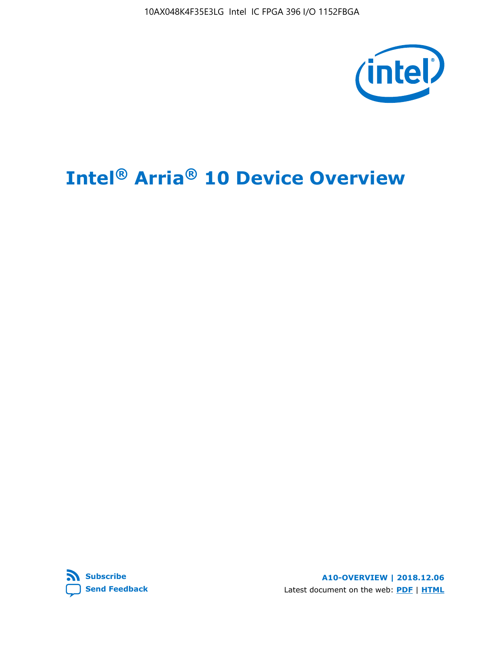

# **Intel® Arria® 10 Device Overview**



**A10-OVERVIEW | 2018.12.06** Latest document on the web: **[PDF](https://www.intel.com/content/dam/www/programmable/us/en/pdfs/literature/hb/arria-10/a10_overview.pdf)** | **[HTML](https://www.intel.com/content/www/us/en/programmable/documentation/sam1403480274650.html)**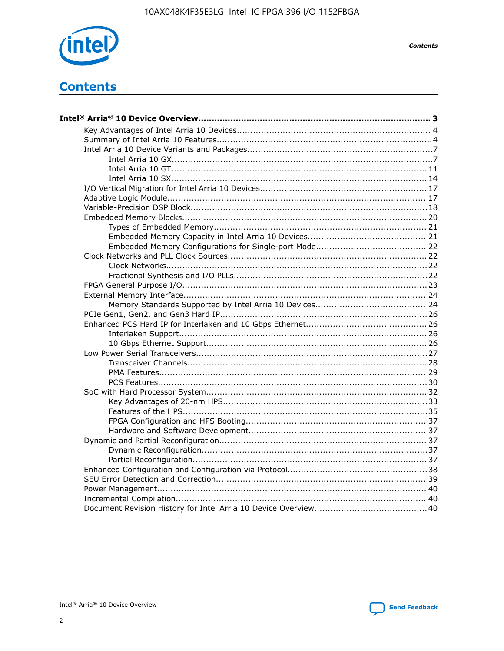

**Contents** 

# **Contents**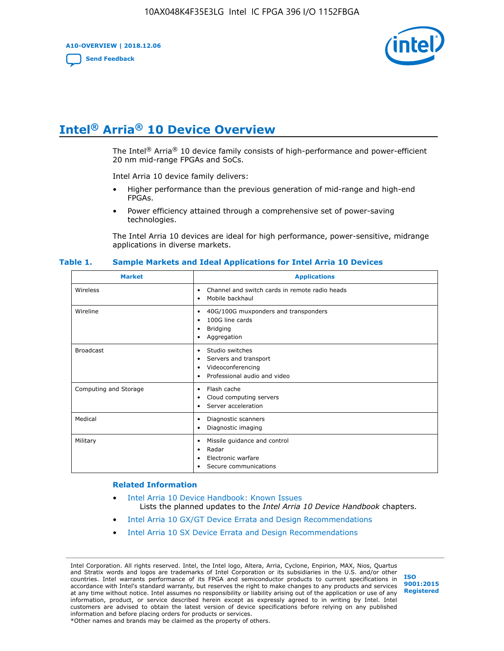**A10-OVERVIEW | 2018.12.06**

**[Send Feedback](mailto:FPGAtechdocfeedback@intel.com?subject=Feedback%20on%20Intel%20Arria%2010%20Device%20Overview%20(A10-OVERVIEW%202018.12.06)&body=We%20appreciate%20your%20feedback.%20In%20your%20comments,%20also%20specify%20the%20page%20number%20or%20paragraph.%20Thank%20you.)**



# **Intel® Arria® 10 Device Overview**

The Intel<sup>®</sup> Arria<sup>®</sup> 10 device family consists of high-performance and power-efficient 20 nm mid-range FPGAs and SoCs.

Intel Arria 10 device family delivers:

- Higher performance than the previous generation of mid-range and high-end FPGAs.
- Power efficiency attained through a comprehensive set of power-saving technologies.

The Intel Arria 10 devices are ideal for high performance, power-sensitive, midrange applications in diverse markets.

| <b>Market</b>         | <b>Applications</b>                                                                                               |
|-----------------------|-------------------------------------------------------------------------------------------------------------------|
| Wireless              | Channel and switch cards in remote radio heads<br>٠<br>Mobile backhaul<br>٠                                       |
| Wireline              | 40G/100G muxponders and transponders<br>٠<br>100G line cards<br>٠<br><b>Bridging</b><br>٠<br>Aggregation<br>٠     |
| <b>Broadcast</b>      | Studio switches<br>٠<br>Servers and transport<br>٠<br>Videoconferencing<br>٠<br>Professional audio and video<br>٠ |
| Computing and Storage | Flash cache<br>٠<br>Cloud computing servers<br>٠<br>Server acceleration<br>٠                                      |
| Medical               | Diagnostic scanners<br>٠<br>Diagnostic imaging<br>٠                                                               |
| Military              | Missile guidance and control<br>٠<br>Radar<br>٠<br>Electronic warfare<br>٠<br>Secure communications<br>٠          |

#### **Table 1. Sample Markets and Ideal Applications for Intel Arria 10 Devices**

#### **Related Information**

- [Intel Arria 10 Device Handbook: Known Issues](http://www.altera.com/support/kdb/solutions/rd07302013_646.html) Lists the planned updates to the *Intel Arria 10 Device Handbook* chapters.
- [Intel Arria 10 GX/GT Device Errata and Design Recommendations](https://www.intel.com/content/www/us/en/programmable/documentation/agz1493851706374.html#yqz1494433888646)
- [Intel Arria 10 SX Device Errata and Design Recommendations](https://www.intel.com/content/www/us/en/programmable/documentation/cru1462832385668.html#cru1462832558642)

Intel Corporation. All rights reserved. Intel, the Intel logo, Altera, Arria, Cyclone, Enpirion, MAX, Nios, Quartus and Stratix words and logos are trademarks of Intel Corporation or its subsidiaries in the U.S. and/or other countries. Intel warrants performance of its FPGA and semiconductor products to current specifications in accordance with Intel's standard warranty, but reserves the right to make changes to any products and services at any time without notice. Intel assumes no responsibility or liability arising out of the application or use of any information, product, or service described herein except as expressly agreed to in writing by Intel. Intel customers are advised to obtain the latest version of device specifications before relying on any published information and before placing orders for products or services. \*Other names and brands may be claimed as the property of others.

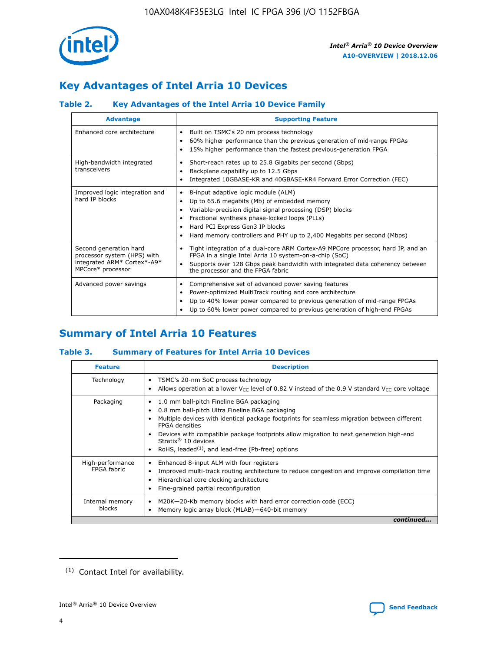

# **Key Advantages of Intel Arria 10 Devices**

# **Table 2. Key Advantages of the Intel Arria 10 Device Family**

| <b>Advantage</b>                                                                                          | <b>Supporting Feature</b>                                                                                                                                                                                                                                                                                                |
|-----------------------------------------------------------------------------------------------------------|--------------------------------------------------------------------------------------------------------------------------------------------------------------------------------------------------------------------------------------------------------------------------------------------------------------------------|
| Enhanced core architecture                                                                                | Built on TSMC's 20 nm process technology<br>٠<br>60% higher performance than the previous generation of mid-range FPGAs<br>٠<br>15% higher performance than the fastest previous-generation FPGA<br>٠                                                                                                                    |
| High-bandwidth integrated<br>transceivers                                                                 | Short-reach rates up to 25.8 Gigabits per second (Gbps)<br>٠<br>Backplane capability up to 12.5 Gbps<br>٠<br>Integrated 10GBASE-KR and 40GBASE-KR4 Forward Error Correction (FEC)<br>٠                                                                                                                                   |
| Improved logic integration and<br>hard IP blocks                                                          | 8-input adaptive logic module (ALM)<br>٠<br>Up to 65.6 megabits (Mb) of embedded memory<br>٠<br>Variable-precision digital signal processing (DSP) blocks<br>Fractional synthesis phase-locked loops (PLLs)<br>Hard PCI Express Gen3 IP blocks<br>Hard memory controllers and PHY up to 2,400 Megabits per second (Mbps) |
| Second generation hard<br>processor system (HPS) with<br>integrated ARM* Cortex*-A9*<br>MPCore* processor | Tight integration of a dual-core ARM Cortex-A9 MPCore processor, hard IP, and an<br>٠<br>FPGA in a single Intel Arria 10 system-on-a-chip (SoC)<br>Supports over 128 Gbps peak bandwidth with integrated data coherency between<br>$\bullet$<br>the processor and the FPGA fabric                                        |
| Advanced power savings                                                                                    | Comprehensive set of advanced power saving features<br>٠<br>Power-optimized MultiTrack routing and core architecture<br>٠<br>Up to 40% lower power compared to previous generation of mid-range FPGAs<br>٠<br>Up to 60% lower power compared to previous generation of high-end FPGAs                                    |

# **Summary of Intel Arria 10 Features**

## **Table 3. Summary of Features for Intel Arria 10 Devices**

| <b>Feature</b>                  | <b>Description</b>                                                                                                                                                                                                                                                                                                                                                                                 |
|---------------------------------|----------------------------------------------------------------------------------------------------------------------------------------------------------------------------------------------------------------------------------------------------------------------------------------------------------------------------------------------------------------------------------------------------|
| Technology                      | TSMC's 20-nm SoC process technology<br>Allows operation at a lower $V_{\text{CC}}$ level of 0.82 V instead of the 0.9 V standard $V_{\text{CC}}$ core voltage                                                                                                                                                                                                                                      |
| Packaging                       | 1.0 mm ball-pitch Fineline BGA packaging<br>٠<br>0.8 mm ball-pitch Ultra Fineline BGA packaging<br>Multiple devices with identical package footprints for seamless migration between different<br><b>FPGA</b> densities<br>Devices with compatible package footprints allow migration to next generation high-end<br>Stratix $@10$ devices<br>RoHS, leaded $(1)$ , and lead-free (Pb-free) options |
| High-performance<br>FPGA fabric | Enhanced 8-input ALM with four registers<br>Improved multi-track routing architecture to reduce congestion and improve compilation time<br>Hierarchical core clocking architecture<br>Fine-grained partial reconfiguration                                                                                                                                                                         |
| Internal memory<br>blocks       | M20K-20-Kb memory blocks with hard error correction code (ECC)<br>Memory logic array block (MLAB)-640-bit memory                                                                                                                                                                                                                                                                                   |
|                                 | continued                                                                                                                                                                                                                                                                                                                                                                                          |



<sup>(1)</sup> Contact Intel for availability.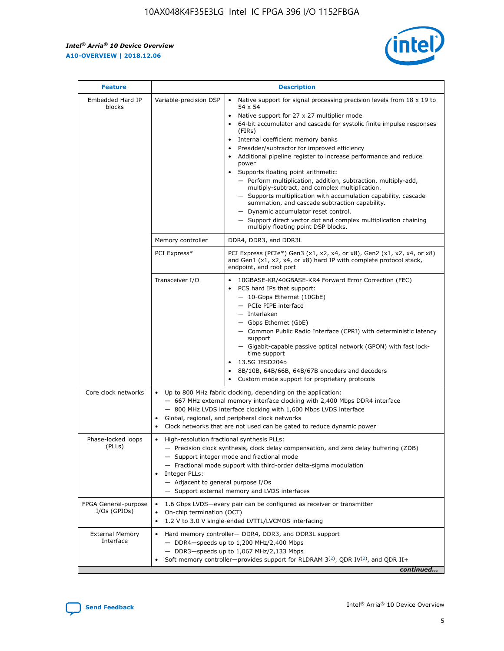$\mathsf{r}$ 



| <b>Feature</b>                         |                                                                                                   | <b>Description</b>                                                                                                                                                                                                                                                                                                                                                                                                                                                                                                                                                                                                                                                                                                                                                                                                                                               |
|----------------------------------------|---------------------------------------------------------------------------------------------------|------------------------------------------------------------------------------------------------------------------------------------------------------------------------------------------------------------------------------------------------------------------------------------------------------------------------------------------------------------------------------------------------------------------------------------------------------------------------------------------------------------------------------------------------------------------------------------------------------------------------------------------------------------------------------------------------------------------------------------------------------------------------------------------------------------------------------------------------------------------|
| Embedded Hard IP<br>blocks             | Variable-precision DSP                                                                            | Native support for signal processing precision levels from $18 \times 19$ to<br>$\bullet$<br>54 x 54<br>Native support for 27 x 27 multiplier mode<br>$\bullet$<br>64-bit accumulator and cascade for systolic finite impulse responses<br>(FIRs)<br>Internal coefficient memory banks<br>$\bullet$<br>Preadder/subtractor for improved efficiency<br>Additional pipeline register to increase performance and reduce<br>power<br>Supports floating point arithmetic:<br>- Perform multiplication, addition, subtraction, multiply-add,<br>multiply-subtract, and complex multiplication.<br>- Supports multiplication with accumulation capability, cascade<br>summation, and cascade subtraction capability.<br>- Dynamic accumulator reset control.<br>- Support direct vector dot and complex multiplication chaining<br>multiply floating point DSP blocks. |
|                                        | Memory controller                                                                                 | DDR4, DDR3, and DDR3L                                                                                                                                                                                                                                                                                                                                                                                                                                                                                                                                                                                                                                                                                                                                                                                                                                            |
|                                        | PCI Express*                                                                                      | PCI Express (PCIe*) Gen3 (x1, x2, x4, or x8), Gen2 (x1, x2, x4, or x8)<br>and Gen1 (x1, x2, x4, or x8) hard IP with complete protocol stack,<br>endpoint, and root port                                                                                                                                                                                                                                                                                                                                                                                                                                                                                                                                                                                                                                                                                          |
|                                        | Transceiver I/O                                                                                   | 10GBASE-KR/40GBASE-KR4 Forward Error Correction (FEC)<br>PCS hard IPs that support:<br>- 10-Gbps Ethernet (10GbE)<br>- PCIe PIPE interface<br>- Interlaken<br>- Gbps Ethernet (GbE)<br>- Common Public Radio Interface (CPRI) with deterministic latency<br>support<br>- Gigabit-capable passive optical network (GPON) with fast lock-<br>time support<br>13.5G JESD204b<br>$\bullet$<br>8B/10B, 64B/66B, 64B/67B encoders and decoders<br>Custom mode support for proprietary protocols                                                                                                                                                                                                                                                                                                                                                                        |
| Core clock networks                    | $\bullet$<br>$\bullet$                                                                            | Up to 800 MHz fabric clocking, depending on the application:<br>- 667 MHz external memory interface clocking with 2,400 Mbps DDR4 interface<br>- 800 MHz LVDS interface clocking with 1,600 Mbps LVDS interface<br>Global, regional, and peripheral clock networks<br>Clock networks that are not used can be gated to reduce dynamic power                                                                                                                                                                                                                                                                                                                                                                                                                                                                                                                      |
| Phase-locked loops<br>(PLLs)           | High-resolution fractional synthesis PLLs:<br>Integer PLLs:<br>- Adjacent to general purpose I/Os | - Precision clock synthesis, clock delay compensation, and zero delay buffering (ZDB)<br>- Support integer mode and fractional mode<br>- Fractional mode support with third-order delta-sigma modulation<br>- Support external memory and LVDS interfaces                                                                                                                                                                                                                                                                                                                                                                                                                                                                                                                                                                                                        |
| FPGA General-purpose<br>$I/Os$ (GPIOs) | On-chip termination (OCT)                                                                         | 1.6 Gbps LVDS—every pair can be configured as receiver or transmitter<br>1.2 V to 3.0 V single-ended LVTTL/LVCMOS interfacing                                                                                                                                                                                                                                                                                                                                                                                                                                                                                                                                                                                                                                                                                                                                    |
| <b>External Memory</b><br>Interface    |                                                                                                   | Hard memory controller- DDR4, DDR3, and DDR3L support<br>$-$ DDR4 $-$ speeds up to 1,200 MHz/2,400 Mbps<br>$-$ DDR3-speeds up to 1,067 MHz/2,133 Mbps<br>Soft memory controller—provides support for RLDRAM $3^{(2)}$ , QDR IV $(2^2)$ , and QDR II+<br>continued                                                                                                                                                                                                                                                                                                                                                                                                                                                                                                                                                                                                |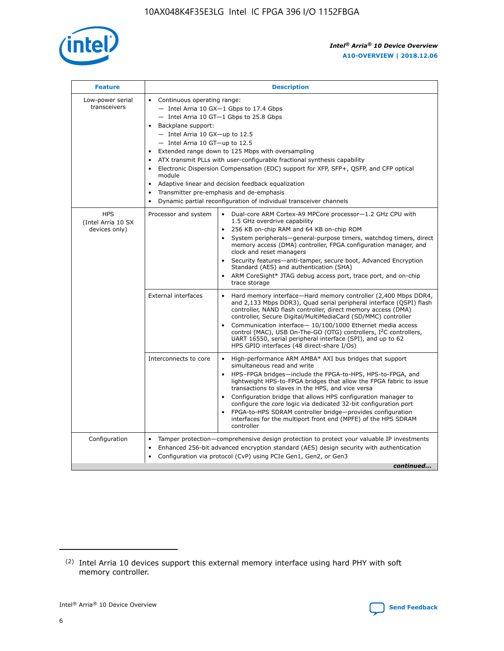

| <b>Feature</b>                                    | <b>Description</b>                                                                                                                                                                                                                                                                                                                                                                                                                                                                                                                                                                                                                                  |  |  |  |  |  |  |  |
|---------------------------------------------------|-----------------------------------------------------------------------------------------------------------------------------------------------------------------------------------------------------------------------------------------------------------------------------------------------------------------------------------------------------------------------------------------------------------------------------------------------------------------------------------------------------------------------------------------------------------------------------------------------------------------------------------------------------|--|--|--|--|--|--|--|
| Low-power serial<br>transceivers                  | • Continuous operating range:<br>- Intel Arria 10 GX-1 Gbps to 17.4 Gbps<br>- Intel Arria 10 GT-1 Gbps to 25.8 Gbps<br>Backplane support:<br>- Intel Arria 10 GX-up to 12.5<br>- Intel Arria 10 GT-up to 12.5<br>Extended range down to 125 Mbps with oversampling<br>ATX transmit PLLs with user-configurable fractional synthesis capability<br>Electronic Dispersion Compensation (EDC) support for XFP, SFP+, QSFP, and CFP optical<br>module<br>Adaptive linear and decision feedback equalization<br>$\bullet$<br>Transmitter pre-emphasis and de-emphasis<br>$\bullet$<br>Dynamic partial reconfiguration of individual transceiver channels |  |  |  |  |  |  |  |
| <b>HPS</b><br>(Intel Arria 10 SX<br>devices only) | Dual-core ARM Cortex-A9 MPCore processor-1.2 GHz CPU with<br>Processor and system<br>$\bullet$<br>1.5 GHz overdrive capability<br>256 KB on-chip RAM and 64 KB on-chip ROM<br>System peripherals—general-purpose timers, watchdog timers, direct<br>memory access (DMA) controller, FPGA configuration manager, and<br>clock and reset managers<br>Security features-anti-tamper, secure boot, Advanced Encryption<br>Standard (AES) and authentication (SHA)<br>ARM CoreSight* JTAG debug access port, trace port, and on-chip<br>trace storage                                                                                                    |  |  |  |  |  |  |  |
|                                                   | <b>External interfaces</b><br>Hard memory interface-Hard memory controller (2,400 Mbps DDR4,<br>$\bullet$<br>and 2,133 Mbps DDR3), Quad serial peripheral interface (QSPI) flash<br>controller, NAND flash controller, direct memory access (DMA)<br>controller, Secure Digital/MultiMediaCard (SD/MMC) controller<br>Communication interface-10/100/1000 Ethernet media access<br>control (MAC), USB On-The-GO (OTG) controllers, I <sup>2</sup> C controllers,<br>UART 16550, serial peripheral interface (SPI), and up to 62<br>HPS GPIO interfaces (48 direct-share I/Os)                                                                       |  |  |  |  |  |  |  |
|                                                   | High-performance ARM AMBA* AXI bus bridges that support<br>Interconnects to core<br>$\bullet$<br>simultaneous read and write<br>HPS-FPGA bridges-include the FPGA-to-HPS, HPS-to-FPGA, and<br>$\bullet$<br>lightweight HPS-to-FPGA bridges that allow the FPGA fabric to issue<br>transactions to slaves in the HPS, and vice versa<br>Configuration bridge that allows HPS configuration manager to<br>configure the core logic via dedicated 32-bit configuration port<br>FPGA-to-HPS SDRAM controller bridge-provides configuration<br>interfaces for the multiport front end (MPFE) of the HPS SDRAM<br>controller                              |  |  |  |  |  |  |  |
| Configuration                                     | Tamper protection—comprehensive design protection to protect your valuable IP investments<br>Enhanced 256-bit advanced encryption standard (AES) design security with authentication<br>٠<br>Configuration via protocol (CvP) using PCIe Gen1, Gen2, or Gen3<br>continued                                                                                                                                                                                                                                                                                                                                                                           |  |  |  |  |  |  |  |

<sup>(2)</sup> Intel Arria 10 devices support this external memory interface using hard PHY with soft memory controller.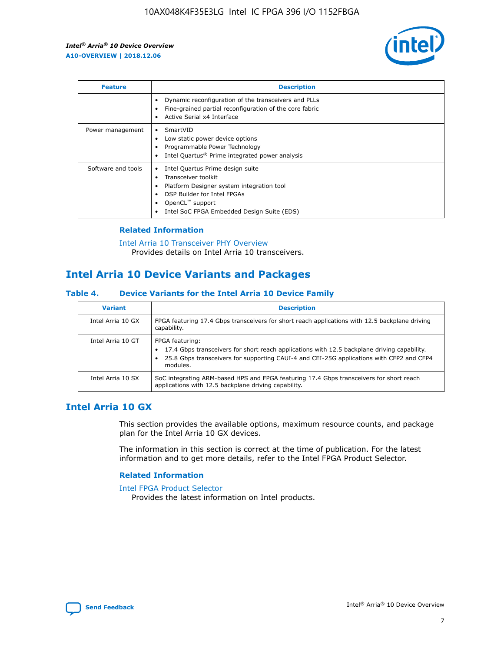

| <b>Feature</b>     | <b>Description</b>                                                                                                                                                                                                            |
|--------------------|-------------------------------------------------------------------------------------------------------------------------------------------------------------------------------------------------------------------------------|
|                    | Dynamic reconfiguration of the transceivers and PLLs<br>Fine-grained partial reconfiguration of the core fabric<br>Active Serial x4 Interface<br>$\bullet$                                                                    |
| Power management   | SmartVID<br>Low static power device options<br>Programmable Power Technology<br>Intel Quartus <sup>®</sup> Prime integrated power analysis                                                                                    |
| Software and tools | Intel Quartus Prime design suite<br>Transceiver toolkit<br>$\bullet$<br>Platform Designer system integration tool<br>DSP Builder for Intel FPGAs<br>OpenCL <sup>"</sup> support<br>Intel SoC FPGA Embedded Design Suite (EDS) |

## **Related Information**

[Intel Arria 10 Transceiver PHY Overview](https://www.intel.com/content/www/us/en/programmable/documentation/nik1398707230472.html#nik1398706768037) Provides details on Intel Arria 10 transceivers.

# **Intel Arria 10 Device Variants and Packages**

#### **Table 4. Device Variants for the Intel Arria 10 Device Family**

| <b>Variant</b>    | <b>Description</b>                                                                                                                                                                                                     |
|-------------------|------------------------------------------------------------------------------------------------------------------------------------------------------------------------------------------------------------------------|
| Intel Arria 10 GX | FPGA featuring 17.4 Gbps transceivers for short reach applications with 12.5 backplane driving<br>capability.                                                                                                          |
| Intel Arria 10 GT | FPGA featuring:<br>17.4 Gbps transceivers for short reach applications with 12.5 backplane driving capability.<br>25.8 Gbps transceivers for supporting CAUI-4 and CEI-25G applications with CFP2 and CFP4<br>modules. |
| Intel Arria 10 SX | SoC integrating ARM-based HPS and FPGA featuring 17.4 Gbps transceivers for short reach<br>applications with 12.5 backplane driving capability.                                                                        |

# **Intel Arria 10 GX**

This section provides the available options, maximum resource counts, and package plan for the Intel Arria 10 GX devices.

The information in this section is correct at the time of publication. For the latest information and to get more details, refer to the Intel FPGA Product Selector.

#### **Related Information**

#### [Intel FPGA Product Selector](http://www.altera.com/products/selector/psg-selector.html) Provides the latest information on Intel products.

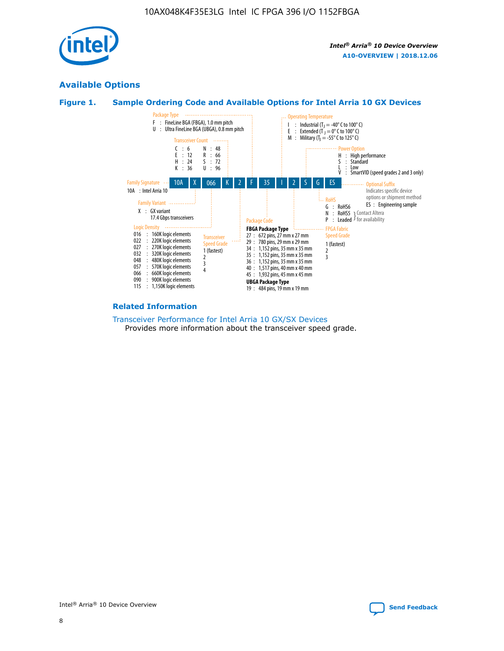

# **Available Options**





#### **Related Information**

[Transceiver Performance for Intel Arria 10 GX/SX Devices](https://www.intel.com/content/www/us/en/programmable/documentation/mcn1413182292568.html#mcn1413213965502) Provides more information about the transceiver speed grade.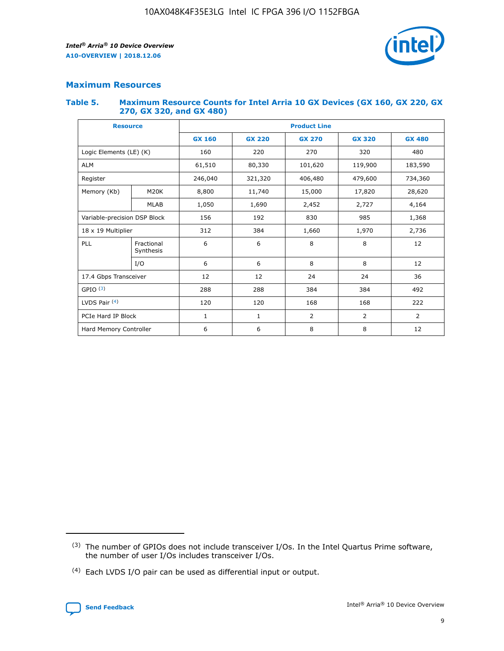

# **Maximum Resources**

#### **Table 5. Maximum Resource Counts for Intel Arria 10 GX Devices (GX 160, GX 220, GX 270, GX 320, and GX 480)**

| <b>Resource</b>              |                         | <b>Product Line</b> |                                                 |                |                |                |  |  |  |
|------------------------------|-------------------------|---------------------|-------------------------------------------------|----------------|----------------|----------------|--|--|--|
|                              |                         | <b>GX 160</b>       | <b>GX 220</b><br><b>GX 270</b><br><b>GX 320</b> |                |                | <b>GX 480</b>  |  |  |  |
| Logic Elements (LE) (K)      |                         | 160                 | 220                                             | 270            | 320            | 480            |  |  |  |
| <b>ALM</b>                   |                         | 61,510              | 80,330                                          | 101,620        | 119,900        | 183,590        |  |  |  |
| Register                     |                         | 246,040             | 406,480<br>321,320                              |                | 479,600        | 734,360        |  |  |  |
| Memory (Kb)                  | M <sub>20</sub> K       | 8,800               | 11,740                                          | 15,000         | 17,820         | 28,620         |  |  |  |
|                              | <b>MLAB</b>             | 1,050               | 1,690<br>2,452                                  |                | 2,727          | 4,164          |  |  |  |
| Variable-precision DSP Block |                         | 156                 | 192                                             | 830            | 985            | 1,368          |  |  |  |
| 18 x 19 Multiplier           |                         | 312                 | 384                                             | 1,970<br>1,660 |                | 2,736          |  |  |  |
| PLL                          | Fractional<br>Synthesis | 6                   | 6                                               | 8              | 8              | 12             |  |  |  |
|                              | I/O                     | 6                   | 6                                               | 8              | 8              | 12             |  |  |  |
| 17.4 Gbps Transceiver        |                         | 12                  | 12                                              | 24             | 24             | 36             |  |  |  |
| GPIO <sup>(3)</sup>          |                         | 288                 | 288                                             | 384            | 384            | 492            |  |  |  |
| LVDS Pair $(4)$              |                         | 120                 | 120                                             | 168            | 168            | 222            |  |  |  |
| PCIe Hard IP Block           |                         | 1                   | 1                                               | 2              | $\overline{2}$ | $\overline{2}$ |  |  |  |
| Hard Memory Controller       |                         | 6                   | 6                                               | 8              | 8              | 12             |  |  |  |

<sup>(4)</sup> Each LVDS I/O pair can be used as differential input or output.



<sup>(3)</sup> The number of GPIOs does not include transceiver I/Os. In the Intel Quartus Prime software, the number of user I/Os includes transceiver I/Os.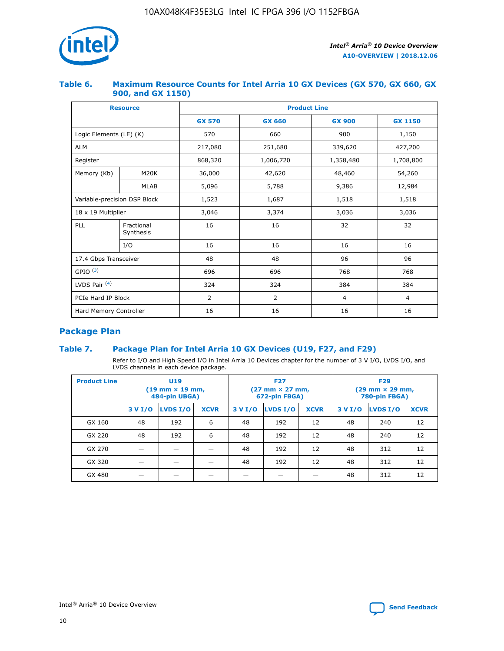

## **Table 6. Maximum Resource Counts for Intel Arria 10 GX Devices (GX 570, GX 660, GX 900, and GX 1150)**

|                              | <b>Resource</b>         | <b>Product Line</b> |                |                |                |  |  |  |
|------------------------------|-------------------------|---------------------|----------------|----------------|----------------|--|--|--|
|                              |                         | <b>GX 570</b>       | <b>GX 660</b>  | <b>GX 900</b>  | <b>GX 1150</b> |  |  |  |
| Logic Elements (LE) (K)      |                         | 570                 | 660            | 900            | 1,150          |  |  |  |
| <b>ALM</b>                   |                         | 217,080             | 251,680        | 339,620        | 427,200        |  |  |  |
| Register                     |                         | 868,320             | 1,006,720      |                | 1,708,800      |  |  |  |
| Memory (Kb)                  | <b>M20K</b>             | 36,000              | 42,620         | 48,460         | 54,260         |  |  |  |
|                              | <b>MLAB</b>             | 5,096               | 5,788          | 9,386          | 12,984         |  |  |  |
| Variable-precision DSP Block |                         | 1,523               | 1,687          | 1,518          | 1,518          |  |  |  |
| 18 x 19 Multiplier           |                         | 3,046               | 3,374          | 3,036          | 3,036          |  |  |  |
| PLL                          | Fractional<br>Synthesis | 16                  | 16             | 32             | 32             |  |  |  |
|                              | I/O                     | 16                  | 16             | 16             | 16             |  |  |  |
| 17.4 Gbps Transceiver        |                         | 48                  | 48<br>96       |                | 96             |  |  |  |
| GPIO <sup>(3)</sup>          |                         | 696                 | 696            | 768            | 768            |  |  |  |
| LVDS Pair $(4)$              |                         | 324                 | 324            | 384            | 384            |  |  |  |
| PCIe Hard IP Block           |                         | 2                   | $\overline{2}$ | $\overline{4}$ | $\overline{4}$ |  |  |  |
| Hard Memory Controller       |                         | 16                  | 16             | 16             | 16             |  |  |  |

# **Package Plan**

# **Table 7. Package Plan for Intel Arria 10 GX Devices (U19, F27, and F29)**

Refer to I/O and High Speed I/O in Intel Arria 10 Devices chapter for the number of 3 V I/O, LVDS I/O, and LVDS channels in each device package.

| <b>Product Line</b> | U <sub>19</sub><br>$(19 \text{ mm} \times 19 \text{ mm})$<br>484-pin UBGA) |          |             |         | <b>F27</b><br>(27 mm × 27 mm,<br>672-pin FBGA) |             | <b>F29</b><br>(29 mm × 29 mm,<br>780-pin FBGA) |          |             |  |
|---------------------|----------------------------------------------------------------------------|----------|-------------|---------|------------------------------------------------|-------------|------------------------------------------------|----------|-------------|--|
|                     | 3 V I/O                                                                    | LVDS I/O | <b>XCVR</b> | 3 V I/O | <b>LVDS I/O</b>                                | <b>XCVR</b> | 3 V I/O                                        | LVDS I/O | <b>XCVR</b> |  |
| GX 160              | 48                                                                         | 192      | 6           | 48      | 192                                            | 12          | 48                                             | 240      | 12          |  |
| GX 220              | 48                                                                         | 192      | 6           | 48      | 192                                            | 12          | 48                                             | 240      | 12          |  |
| GX 270              |                                                                            |          |             | 48      | 192                                            | 12          | 48                                             | 312      | 12          |  |
| GX 320              |                                                                            |          |             | 48      | 192                                            | 12          | 48                                             | 312      | 12          |  |
| GX 480              |                                                                            |          |             |         |                                                |             | 48                                             | 312      | 12          |  |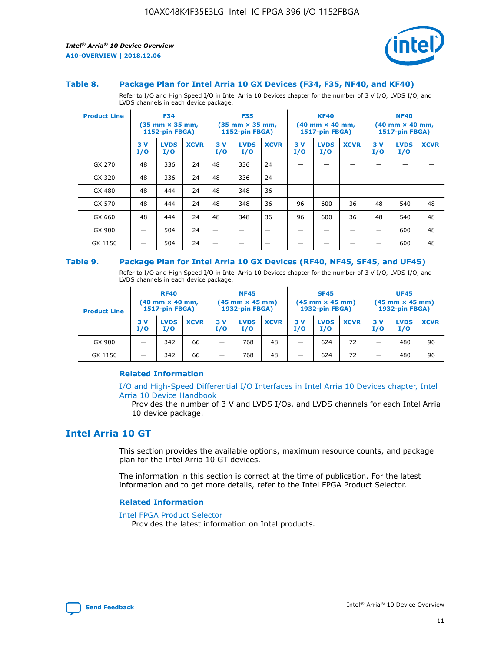

#### **Table 8. Package Plan for Intel Arria 10 GX Devices (F34, F35, NF40, and KF40)**

Refer to I/O and High Speed I/O in Intel Arria 10 Devices chapter for the number of 3 V I/O, LVDS I/O, and LVDS channels in each device package.

| <b>Product Line</b> | <b>F34</b><br>$(35 \text{ mm} \times 35 \text{ mm})$<br>1152-pin FBGA) |                    | <b>F35</b><br>$(35$ mm $\times$ 35 mm,<br><b>1152-pin FBGA)</b> |           | <b>KF40</b><br>$(40$ mm $\times$ 40 mm,<br>1517-pin FBGA) |             |           | <b>NF40</b><br>$(40 \text{ mm} \times 40 \text{ mm})$<br><b>1517-pin FBGA)</b> |             |            |                    |             |
|---------------------|------------------------------------------------------------------------|--------------------|-----------------------------------------------------------------|-----------|-----------------------------------------------------------|-------------|-----------|--------------------------------------------------------------------------------|-------------|------------|--------------------|-------------|
|                     | 3V<br>I/O                                                              | <b>LVDS</b><br>I/O | <b>XCVR</b>                                                     | 3V<br>I/O | <b>LVDS</b><br>I/O                                        | <b>XCVR</b> | 3V<br>I/O | <b>LVDS</b><br>I/O                                                             | <b>XCVR</b> | 3 V<br>I/O | <b>LVDS</b><br>I/O | <b>XCVR</b> |
| GX 270              | 48                                                                     | 336                | 24                                                              | 48        | 336                                                       | 24          |           |                                                                                |             |            |                    |             |
| GX 320              | 48                                                                     | 336                | 24                                                              | 48        | 336                                                       | 24          |           |                                                                                |             |            |                    |             |
| GX 480              | 48                                                                     | 444                | 24                                                              | 48        | 348                                                       | 36          |           |                                                                                |             |            |                    |             |
| GX 570              | 48                                                                     | 444                | 24                                                              | 48        | 348                                                       | 36          | 96        | 600                                                                            | 36          | 48         | 540                | 48          |
| GX 660              | 48                                                                     | 444                | 24                                                              | 48        | 348                                                       | 36          | 96        | 600                                                                            | 36          | 48         | 540                | 48          |
| GX 900              |                                                                        | 504                | 24                                                              | –         |                                                           |             |           |                                                                                |             |            | 600                | 48          |
| GX 1150             |                                                                        | 504                | 24                                                              |           |                                                           |             |           |                                                                                |             |            | 600                | 48          |

#### **Table 9. Package Plan for Intel Arria 10 GX Devices (RF40, NF45, SF45, and UF45)**

Refer to I/O and High Speed I/O in Intel Arria 10 Devices chapter for the number of 3 V I/O, LVDS I/O, and LVDS channels in each device package.

| <b>Product Line</b> | <b>RF40</b><br>$(40 \text{ mm} \times 40 \text{ mm})$<br>1517-pin FBGA) |                    | <b>NF45</b><br>$(45 \text{ mm} \times 45 \text{ mm})$<br>1932-pin FBGA) |            |                    | <b>SF45</b><br>$(45 \text{ mm} \times 45 \text{ mm})$<br><b>1932-pin FBGA)</b> |            |                    | <b>UF45</b><br>$(45 \text{ mm} \times 45 \text{ mm})$<br>1932-pin FBGA) |           |                    |             |
|---------------------|-------------------------------------------------------------------------|--------------------|-------------------------------------------------------------------------|------------|--------------------|--------------------------------------------------------------------------------|------------|--------------------|-------------------------------------------------------------------------|-----------|--------------------|-------------|
|                     | 3 V<br>I/O                                                              | <b>LVDS</b><br>I/O | <b>XCVR</b>                                                             | 3 V<br>I/O | <b>LVDS</b><br>I/O | <b>XCVR</b>                                                                    | 3 V<br>I/O | <b>LVDS</b><br>I/O | <b>XCVR</b>                                                             | 3V<br>I/O | <b>LVDS</b><br>I/O | <b>XCVR</b> |
| GX 900              | _                                                                       | 342                | 66                                                                      | -          | 768                | 48                                                                             | -          | 624                | 72                                                                      | _         | 480                | 96          |
| GX 1150             |                                                                         | 342                | 66                                                                      | -          | 768                | 48                                                                             |            | 624                | 72                                                                      |           | 480                | 96          |

## **Related Information**

[I/O and High-Speed Differential I/O Interfaces in Intel Arria 10 Devices chapter, Intel](https://www.intel.com/content/www/us/en/programmable/documentation/sam1403482614086.html#sam1403482030321) [Arria 10 Device Handbook](https://www.intel.com/content/www/us/en/programmable/documentation/sam1403482614086.html#sam1403482030321)

Provides the number of 3 V and LVDS I/Os, and LVDS channels for each Intel Arria 10 device package.

# **Intel Arria 10 GT**

This section provides the available options, maximum resource counts, and package plan for the Intel Arria 10 GT devices.

The information in this section is correct at the time of publication. For the latest information and to get more details, refer to the Intel FPGA Product Selector.

#### **Related Information**

#### [Intel FPGA Product Selector](http://www.altera.com/products/selector/psg-selector.html)

Provides the latest information on Intel products.

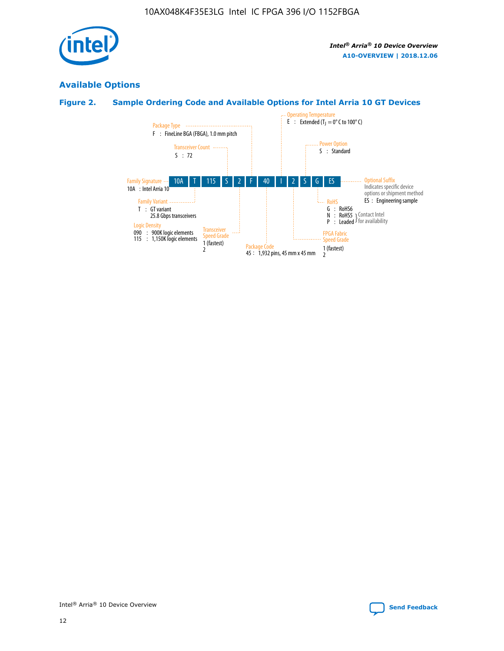

# **Available Options**

# **Figure 2. Sample Ordering Code and Available Options for Intel Arria 10 GT Devices**

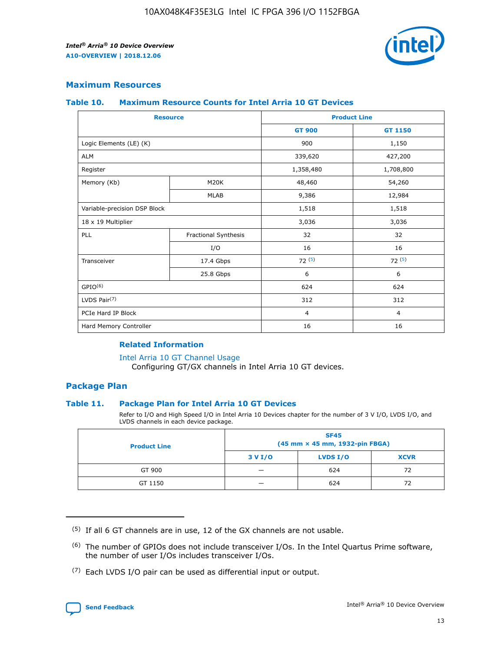

## **Maximum Resources**

#### **Table 10. Maximum Resource Counts for Intel Arria 10 GT Devices**

| <b>Resource</b>              |                      | <b>Product Line</b> |                |  |
|------------------------------|----------------------|---------------------|----------------|--|
|                              |                      | <b>GT 900</b>       | <b>GT 1150</b> |  |
| Logic Elements (LE) (K)      |                      | 900                 | 1,150          |  |
| <b>ALM</b>                   |                      | 339,620             | 427,200        |  |
| Register                     |                      | 1,358,480           | 1,708,800      |  |
| Memory (Kb)                  | M <sub>20</sub> K    | 48,460              | 54,260         |  |
|                              | <b>MLAB</b>          | 9,386               | 12,984         |  |
| Variable-precision DSP Block |                      | 1,518               | 1,518          |  |
| 18 x 19 Multiplier           |                      | 3,036               | 3,036          |  |
| PLL                          | Fractional Synthesis | 32                  | 32             |  |
|                              | I/O                  | 16                  | 16             |  |
| Transceiver                  | 17.4 Gbps            | 72(5)               | 72(5)          |  |
|                              | 25.8 Gbps            | 6                   | 6              |  |
| GPIO <sup>(6)</sup>          |                      | 624                 | 624            |  |
| LVDS Pair $(7)$              |                      | 312                 | 312            |  |
| PCIe Hard IP Block           |                      | $\overline{4}$      | $\overline{4}$ |  |
| Hard Memory Controller       |                      | 16                  | 16             |  |

#### **Related Information**

#### [Intel Arria 10 GT Channel Usage](https://www.intel.com/content/www/us/en/programmable/documentation/nik1398707230472.html#nik1398707008178)

Configuring GT/GX channels in Intel Arria 10 GT devices.

## **Package Plan**

## **Table 11. Package Plan for Intel Arria 10 GT Devices**

Refer to I/O and High Speed I/O in Intel Arria 10 Devices chapter for the number of 3 V I/O, LVDS I/O, and LVDS channels in each device package.

| <b>Product Line</b> | <b>SF45</b><br>(45 mm × 45 mm, 1932-pin FBGA) |                 |             |  |  |  |
|---------------------|-----------------------------------------------|-----------------|-------------|--|--|--|
|                     | 3 V I/O                                       | <b>LVDS I/O</b> | <b>XCVR</b> |  |  |  |
| GT 900              |                                               | 624             | 72          |  |  |  |
| GT 1150             |                                               | 624             | 72          |  |  |  |

<sup>(7)</sup> Each LVDS I/O pair can be used as differential input or output.



 $(5)$  If all 6 GT channels are in use, 12 of the GX channels are not usable.

<sup>(6)</sup> The number of GPIOs does not include transceiver I/Os. In the Intel Quartus Prime software, the number of user I/Os includes transceiver I/Os.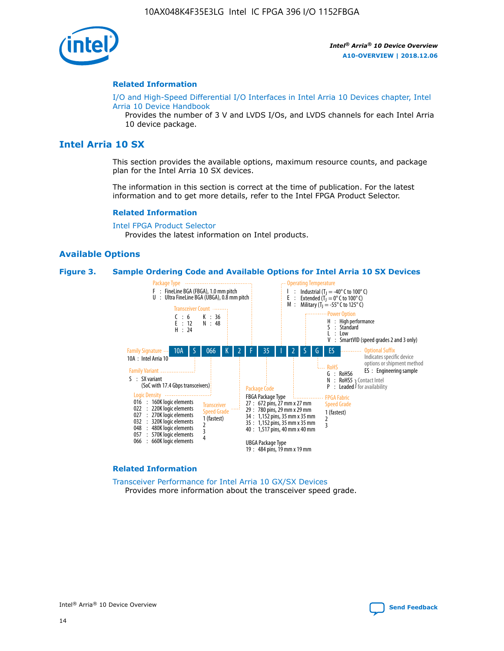

#### **Related Information**

[I/O and High-Speed Differential I/O Interfaces in Intel Arria 10 Devices chapter, Intel](https://www.intel.com/content/www/us/en/programmable/documentation/sam1403482614086.html#sam1403482030321) [Arria 10 Device Handbook](https://www.intel.com/content/www/us/en/programmable/documentation/sam1403482614086.html#sam1403482030321)

Provides the number of 3 V and LVDS I/Os, and LVDS channels for each Intel Arria 10 device package.

# **Intel Arria 10 SX**

This section provides the available options, maximum resource counts, and package plan for the Intel Arria 10 SX devices.

The information in this section is correct at the time of publication. For the latest information and to get more details, refer to the Intel FPGA Product Selector.

#### **Related Information**

[Intel FPGA Product Selector](http://www.altera.com/products/selector/psg-selector.html) Provides the latest information on Intel products.

## **Available Options**

#### **Figure 3. Sample Ordering Code and Available Options for Intel Arria 10 SX Devices**



#### **Related Information**

[Transceiver Performance for Intel Arria 10 GX/SX Devices](https://www.intel.com/content/www/us/en/programmable/documentation/mcn1413182292568.html#mcn1413213965502) Provides more information about the transceiver speed grade.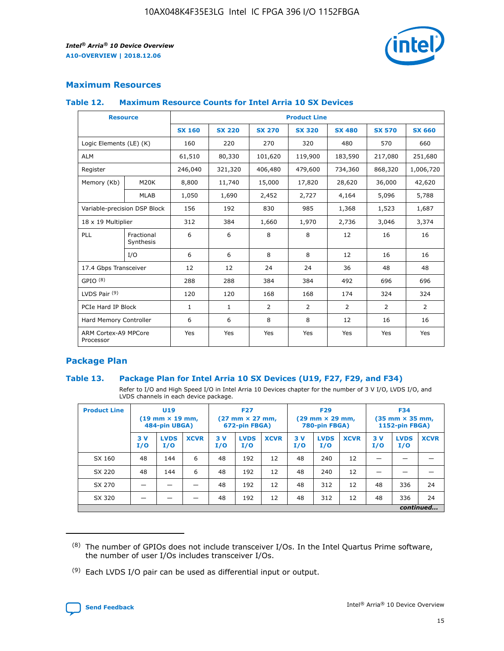

# **Maximum Resources**

## **Table 12. Maximum Resource Counts for Intel Arria 10 SX Devices**

|                                   | <b>Resource</b>         | <b>Product Line</b> |               |                |                |                |                |                |  |  |  |
|-----------------------------------|-------------------------|---------------------|---------------|----------------|----------------|----------------|----------------|----------------|--|--|--|
|                                   |                         | <b>SX 160</b>       | <b>SX 220</b> | <b>SX 270</b>  | <b>SX 320</b>  | <b>SX 480</b>  | <b>SX 570</b>  | <b>SX 660</b>  |  |  |  |
| Logic Elements (LE) (K)           |                         | 160                 | 220           | 270            | 320            | 480            | 570            | 660            |  |  |  |
| <b>ALM</b>                        |                         | 61,510              | 80,330        | 101,620        | 119,900        | 183,590        | 217,080        | 251,680        |  |  |  |
| Register                          |                         | 246,040             | 321,320       | 406,480        | 479,600        | 734,360        | 868,320        | 1,006,720      |  |  |  |
| Memory (Kb)                       | M <sub>20</sub> K       | 8,800               | 11,740        | 15,000         | 17,820         | 28,620         | 36,000         | 42,620         |  |  |  |
|                                   | <b>MLAB</b>             | 1,050               | 1,690         | 2,452          | 2,727          | 4,164          | 5,096          | 5,788          |  |  |  |
| Variable-precision DSP Block      |                         | 156                 | 192           | 830            | 985            | 1,368          | 1,523          | 1,687          |  |  |  |
| 18 x 19 Multiplier                |                         | 312                 | 384           | 1,660          | 1,970          | 2,736          | 3,046          | 3,374          |  |  |  |
| <b>PLL</b>                        | Fractional<br>Synthesis | 6                   | 6             | 8              | 8              | 12             | 16             | 16             |  |  |  |
|                                   | I/O                     | 6                   | 6             | 8              | 8              | 12             | 16             | 16             |  |  |  |
| 17.4 Gbps Transceiver             |                         | 12                  | 12            | 24             | 24             | 36             | 48             | 48             |  |  |  |
| GPIO <sup>(8)</sup>               |                         | 288                 | 288           | 384            | 384            | 492            | 696            | 696            |  |  |  |
| LVDS Pair $(9)$                   |                         | 120                 | 120           | 168            | 168            | 174            | 324            | 324            |  |  |  |
| PCIe Hard IP Block                |                         | $\mathbf{1}$        | $\mathbf{1}$  | $\overline{2}$ | $\overline{2}$ | $\overline{2}$ | $\overline{2}$ | $\overline{2}$ |  |  |  |
| Hard Memory Controller            |                         | 6                   | 6             | 8              | 8              | 12             | 16             | 16             |  |  |  |
| ARM Cortex-A9 MPCore<br>Processor |                         | Yes                 | Yes           | Yes            | Yes            | Yes            | Yes            | Yes            |  |  |  |

# **Package Plan**

## **Table 13. Package Plan for Intel Arria 10 SX Devices (U19, F27, F29, and F34)**

Refer to I/O and High Speed I/O in Intel Arria 10 Devices chapter for the number of 3 V I/O, LVDS I/O, and LVDS channels in each device package.

| <b>Product Line</b> | <b>U19</b><br>$(19 \text{ mm} \times 19 \text{ mm})$<br>484-pin UBGA) |                    | <b>F27</b><br>$(27 \text{ mm} \times 27 \text{ mm})$<br>672-pin FBGA) |           | <b>F29</b><br>$(29$ mm $\times$ 29 mm,<br>780-pin FBGA) |             |            | <b>F34</b><br>$(35 \text{ mm} \times 35 \text{ mm})$<br>1152-pin FBGA) |             |           |                    |             |
|---------------------|-----------------------------------------------------------------------|--------------------|-----------------------------------------------------------------------|-----------|---------------------------------------------------------|-------------|------------|------------------------------------------------------------------------|-------------|-----------|--------------------|-------------|
|                     | 3V<br>I/O                                                             | <b>LVDS</b><br>I/O | <b>XCVR</b>                                                           | 3V<br>I/O | <b>LVDS</b><br>I/O                                      | <b>XCVR</b> | 3 V<br>I/O | <b>LVDS</b><br>I/O                                                     | <b>XCVR</b> | 3V<br>I/O | <b>LVDS</b><br>I/O | <b>XCVR</b> |
| SX 160              | 48                                                                    | 144                | 6                                                                     | 48        | 192                                                     | 12          | 48         | 240                                                                    | 12          | –         |                    |             |
| SX 220              | 48                                                                    | 144                | 6                                                                     | 48        | 192                                                     | 12          | 48         | 240                                                                    | 12          |           |                    |             |
| SX 270              |                                                                       |                    |                                                                       | 48        | 192                                                     | 12          | 48         | 312                                                                    | 12          | 48        | 336                | 24          |
| SX 320              |                                                                       |                    |                                                                       | 48        | 192                                                     | 12          | 48         | 312                                                                    | 12          | 48        | 336                | 24          |
|                     | continued                                                             |                    |                                                                       |           |                                                         |             |            |                                                                        |             |           |                    |             |

 $(8)$  The number of GPIOs does not include transceiver I/Os. In the Intel Quartus Prime software, the number of user I/Os includes transceiver I/Os.

 $(9)$  Each LVDS I/O pair can be used as differential input or output.

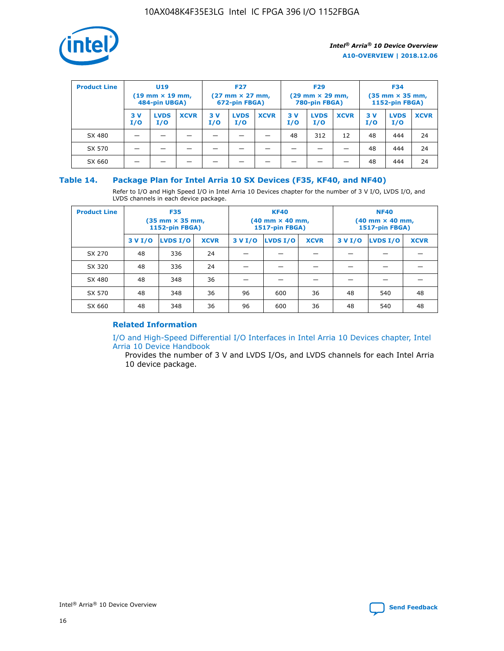

| <b>Product Line</b> | U <sub>19</sub><br>$(19 \text{ mm} \times 19 \text{ mm})$<br>484-pin UBGA) |                    | <b>F27</b><br>$(27 \text{ mm} \times 27 \text{ mm})$<br>672-pin FBGA) |           | <b>F29</b><br>$(29 \text{ mm} \times 29 \text{ mm})$<br>780-pin FBGA) |             |           | <b>F34</b><br>$(35$ mm $\times$ 35 mm,<br><b>1152-pin FBGA)</b> |             |           |                    |             |
|---------------------|----------------------------------------------------------------------------|--------------------|-----------------------------------------------------------------------|-----------|-----------------------------------------------------------------------|-------------|-----------|-----------------------------------------------------------------|-------------|-----------|--------------------|-------------|
|                     | 3V<br>I/O                                                                  | <b>LVDS</b><br>I/O | <b>XCVR</b>                                                           | 3V<br>I/O | <b>LVDS</b><br>I/O                                                    | <b>XCVR</b> | 3V<br>I/O | <b>LVDS</b><br>I/O                                              | <b>XCVR</b> | 3V<br>I/O | <b>LVDS</b><br>I/O | <b>XCVR</b> |
| SX 480              |                                                                            |                    |                                                                       |           |                                                                       |             | 48        | 312                                                             | 12          | 48        | 444                | 24          |
| SX 570              |                                                                            |                    |                                                                       |           |                                                                       |             |           |                                                                 |             | 48        | 444                | 24          |
| SX 660              |                                                                            |                    |                                                                       |           |                                                                       |             |           |                                                                 |             | 48        | 444                | 24          |

## **Table 14. Package Plan for Intel Arria 10 SX Devices (F35, KF40, and NF40)**

Refer to I/O and High Speed I/O in Intel Arria 10 Devices chapter for the number of 3 V I/O, LVDS I/O, and LVDS channels in each device package.

| <b>Product Line</b> | <b>F35</b><br>$(35 \text{ mm} \times 35 \text{ mm})$<br><b>1152-pin FBGA)</b> |          |             |                                           | <b>KF40</b><br>(40 mm × 40 mm,<br>1517-pin FBGA) |    | <b>NF40</b><br>$(40 \text{ mm} \times 40 \text{ mm})$<br>1517-pin FBGA) |          |             |  |
|---------------------|-------------------------------------------------------------------------------|----------|-------------|-------------------------------------------|--------------------------------------------------|----|-------------------------------------------------------------------------|----------|-------------|--|
|                     | 3 V I/O                                                                       | LVDS I/O | <b>XCVR</b> | <b>LVDS I/O</b><br><b>XCVR</b><br>3 V I/O |                                                  |    | 3 V I/O                                                                 | LVDS I/O | <b>XCVR</b> |  |
| SX 270              | 48                                                                            | 336      | 24          |                                           |                                                  |    |                                                                         |          |             |  |
| SX 320              | 48                                                                            | 336      | 24          |                                           |                                                  |    |                                                                         |          |             |  |
| SX 480              | 48                                                                            | 348      | 36          |                                           |                                                  |    |                                                                         |          |             |  |
| SX 570              | 48                                                                            | 348      | 36          | 96                                        | 600                                              | 36 | 48                                                                      | 540      | 48          |  |
| SX 660              | 48                                                                            | 348      | 36          | 96                                        | 600                                              | 36 | 48                                                                      | 540      | 48          |  |

# **Related Information**

[I/O and High-Speed Differential I/O Interfaces in Intel Arria 10 Devices chapter, Intel](https://www.intel.com/content/www/us/en/programmable/documentation/sam1403482614086.html#sam1403482030321) [Arria 10 Device Handbook](https://www.intel.com/content/www/us/en/programmable/documentation/sam1403482614086.html#sam1403482030321)

Provides the number of 3 V and LVDS I/Os, and LVDS channels for each Intel Arria 10 device package.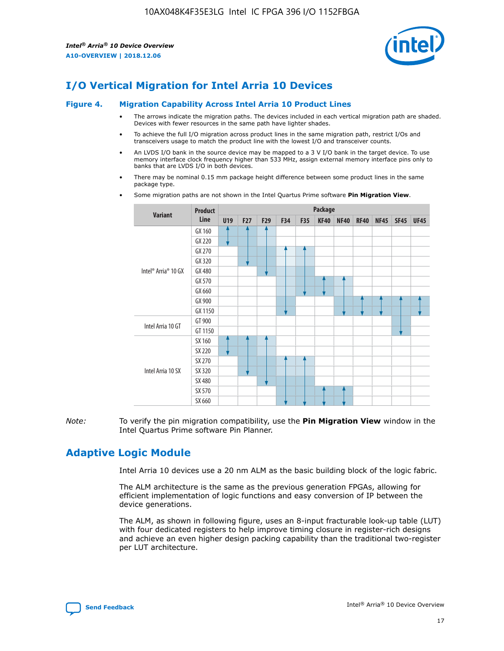

# **I/O Vertical Migration for Intel Arria 10 Devices**

#### **Figure 4. Migration Capability Across Intel Arria 10 Product Lines**

- The arrows indicate the migration paths. The devices included in each vertical migration path are shaded. Devices with fewer resources in the same path have lighter shades.
- To achieve the full I/O migration across product lines in the same migration path, restrict I/Os and transceivers usage to match the product line with the lowest I/O and transceiver counts.
- An LVDS I/O bank in the source device may be mapped to a 3 V I/O bank in the target device. To use memory interface clock frequency higher than 533 MHz, assign external memory interface pins only to banks that are LVDS I/O in both devices.
- There may be nominal 0.15 mm package height difference between some product lines in the same package type.
	- **Variant Product Line Package U19 F27 F29 F34 F35 KF40 NF40 RF40 NF45 SF45 UF45** Intel® Arria® 10 GX GX 160 GX 220 GX 270 GX 320 GX 480 GX 570 GX 660 GX 900 GX 1150 Intel Arria 10 GT GT 900 GT 1150 Intel Arria 10 SX SX 160 SX 220 SX 270 SX 320 SX 480 SX 570 SX 660
- Some migration paths are not shown in the Intel Quartus Prime software **Pin Migration View**.

*Note:* To verify the pin migration compatibility, use the **Pin Migration View** window in the Intel Quartus Prime software Pin Planner.

# **Adaptive Logic Module**

Intel Arria 10 devices use a 20 nm ALM as the basic building block of the logic fabric.

The ALM architecture is the same as the previous generation FPGAs, allowing for efficient implementation of logic functions and easy conversion of IP between the device generations.

The ALM, as shown in following figure, uses an 8-input fracturable look-up table (LUT) with four dedicated registers to help improve timing closure in register-rich designs and achieve an even higher design packing capability than the traditional two-register per LUT architecture.

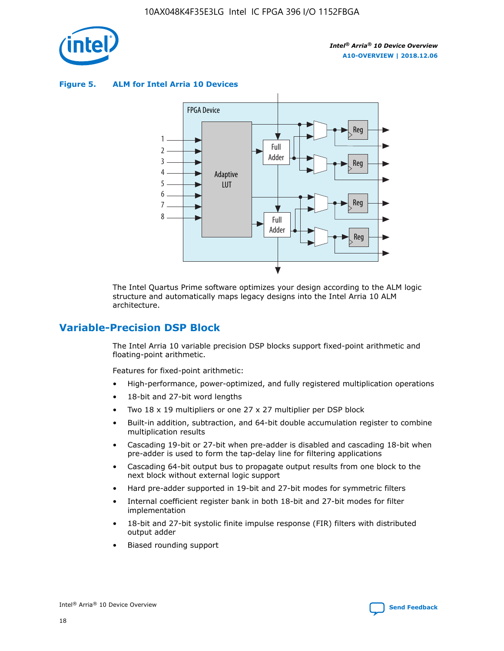

**Figure 5. ALM for Intel Arria 10 Devices**



The Intel Quartus Prime software optimizes your design according to the ALM logic structure and automatically maps legacy designs into the Intel Arria 10 ALM architecture.

# **Variable-Precision DSP Block**

The Intel Arria 10 variable precision DSP blocks support fixed-point arithmetic and floating-point arithmetic.

Features for fixed-point arithmetic:

- High-performance, power-optimized, and fully registered multiplication operations
- 18-bit and 27-bit word lengths
- Two 18 x 19 multipliers or one 27 x 27 multiplier per DSP block
- Built-in addition, subtraction, and 64-bit double accumulation register to combine multiplication results
- Cascading 19-bit or 27-bit when pre-adder is disabled and cascading 18-bit when pre-adder is used to form the tap-delay line for filtering applications
- Cascading 64-bit output bus to propagate output results from one block to the next block without external logic support
- Hard pre-adder supported in 19-bit and 27-bit modes for symmetric filters
- Internal coefficient register bank in both 18-bit and 27-bit modes for filter implementation
- 18-bit and 27-bit systolic finite impulse response (FIR) filters with distributed output adder
- Biased rounding support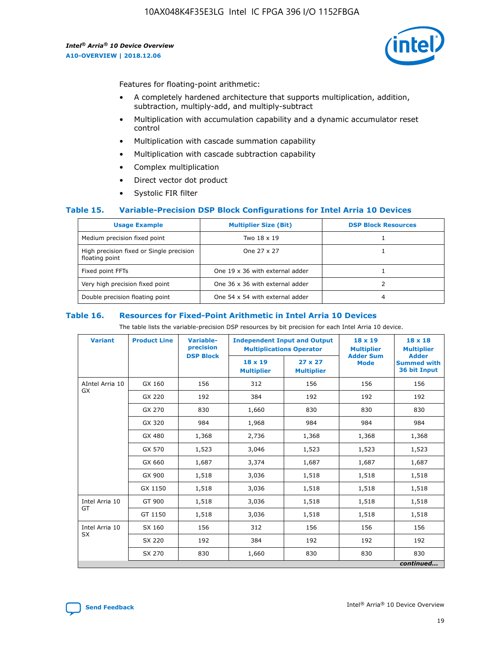

Features for floating-point arithmetic:

- A completely hardened architecture that supports multiplication, addition, subtraction, multiply-add, and multiply-subtract
- Multiplication with accumulation capability and a dynamic accumulator reset control
- Multiplication with cascade summation capability
- Multiplication with cascade subtraction capability
- Complex multiplication
- Direct vector dot product
- Systolic FIR filter

## **Table 15. Variable-Precision DSP Block Configurations for Intel Arria 10 Devices**

| <b>Usage Example</b>                                       | <b>Multiplier Size (Bit)</b>    | <b>DSP Block Resources</b> |
|------------------------------------------------------------|---------------------------------|----------------------------|
| Medium precision fixed point                               | Two 18 x 19                     |                            |
| High precision fixed or Single precision<br>floating point | One 27 x 27                     |                            |
| Fixed point FFTs                                           | One 19 x 36 with external adder |                            |
| Very high precision fixed point                            | One 36 x 36 with external adder |                            |
| Double precision floating point                            | One 54 x 54 with external adder | 4                          |

#### **Table 16. Resources for Fixed-Point Arithmetic in Intel Arria 10 Devices**

The table lists the variable-precision DSP resources by bit precision for each Intel Arria 10 device.

| <b>Variant</b>               | <b>Product Line</b> | Variable-<br>precision | <b>Independent Input and Output</b><br><b>Multiplications Operator</b> |                                     | 18 x 19<br><b>Multiplier</b>    | $18 \times 18$<br><b>Multiplier</b>                |
|------------------------------|---------------------|------------------------|------------------------------------------------------------------------|-------------------------------------|---------------------------------|----------------------------------------------------|
|                              |                     | <b>DSP Block</b>       | 18 x 19<br><b>Multiplier</b>                                           | $27 \times 27$<br><b>Multiplier</b> | <b>Adder Sum</b><br><b>Mode</b> | <b>Adder</b><br><b>Summed with</b><br>36 bit Input |
| AIntel Arria 10<br><b>GX</b> | GX 160              | 156                    | 312                                                                    | 156                                 | 156                             | 156                                                |
|                              | GX 220              | 192                    | 384                                                                    | 192                                 | 192                             | 192                                                |
|                              | GX 270              | 830                    | 1,660                                                                  | 830                                 | 830                             | 830                                                |
|                              | GX 320              | 984                    | 1,968                                                                  | 984                                 | 984                             | 984                                                |
|                              | GX 480              | 1,368                  | 2,736                                                                  | 1,368                               | 1,368                           | 1,368                                              |
|                              | GX 570              | 1,523                  | 3,046                                                                  | 1,523                               | 1,523                           | 1,523                                              |
|                              | GX 660              | 1,687                  | 3,374                                                                  | 1,687                               | 1,687                           | 1,687                                              |
|                              | GX 900              | 1,518                  | 3,036                                                                  | 1,518                               | 1,518                           | 1,518                                              |
|                              | GX 1150             | 1,518                  | 3,036                                                                  | 1,518                               | 1,518                           | 1,518                                              |
| Intel Arria 10               | GT 900              | 1,518                  | 3,036                                                                  | 1,518                               | 1,518                           | 1,518                                              |
| GT                           | GT 1150             | 1,518                  | 3,036                                                                  | 1,518                               | 1,518                           | 1,518                                              |
| Intel Arria 10               | SX 160              | 156                    | 312                                                                    | 156                                 | 156                             | 156                                                |
| <b>SX</b>                    | SX 220              | 192                    | 384                                                                    | 192                                 | 192                             | 192                                                |
|                              | SX 270              | 830                    | 1,660                                                                  | 830                                 | 830                             | 830                                                |
|                              |                     |                        |                                                                        |                                     |                                 | continued                                          |

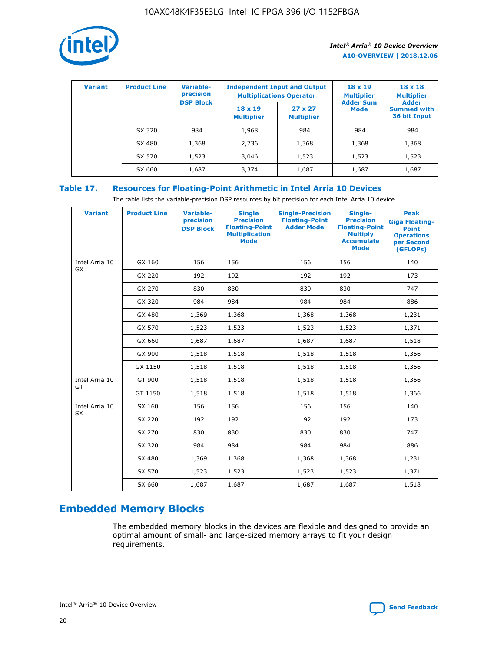

| <b>Variant</b> | <b>Product Line</b> | <b>Variable-</b><br>precision<br><b>DSP Block</b> | <b>Independent Input and Output</b><br><b>Multiplications Operator</b> |                                     | $18 \times 19$<br><b>Multiplier</b><br><b>Adder Sum</b> | $18 \times 18$<br><b>Multiplier</b><br><b>Adder</b> |  |
|----------------|---------------------|---------------------------------------------------|------------------------------------------------------------------------|-------------------------------------|---------------------------------------------------------|-----------------------------------------------------|--|
|                |                     |                                                   | $18 \times 19$<br><b>Multiplier</b>                                    | $27 \times 27$<br><b>Multiplier</b> | <b>Mode</b>                                             | <b>Summed with</b><br>36 bit Input                  |  |
|                | SX 320              | 984                                               | 1,968                                                                  | 984                                 | 984                                                     | 984                                                 |  |
|                | SX 480              | 1,368                                             | 2,736                                                                  | 1,368                               | 1,368                                                   | 1,368                                               |  |
|                | SX 570              | 1,523                                             | 3,046                                                                  | 1,523                               | 1,523                                                   | 1,523                                               |  |
|                | SX 660              | 1,687                                             | 3,374                                                                  | 1,687                               | 1,687                                                   | 1,687                                               |  |

# **Table 17. Resources for Floating-Point Arithmetic in Intel Arria 10 Devices**

The table lists the variable-precision DSP resources by bit precision for each Intel Arria 10 device.

| <b>Variant</b> | <b>Product Line</b> | <b>Variable-</b><br>precision<br><b>DSP Block</b> | <b>Single</b><br><b>Precision</b><br><b>Floating-Point</b><br><b>Multiplication</b><br><b>Mode</b> | <b>Single-Precision</b><br><b>Floating-Point</b><br><b>Adder Mode</b> | Single-<br><b>Precision</b><br><b>Floating-Point</b><br><b>Multiply</b><br><b>Accumulate</b><br><b>Mode</b> | <b>Peak</b><br><b>Giga Floating-</b><br><b>Point</b><br><b>Operations</b><br>per Second<br>(GFLOPs) |
|----------------|---------------------|---------------------------------------------------|----------------------------------------------------------------------------------------------------|-----------------------------------------------------------------------|-------------------------------------------------------------------------------------------------------------|-----------------------------------------------------------------------------------------------------|
| Intel Arria 10 | GX 160              | 156                                               | 156                                                                                                | 156                                                                   | 156                                                                                                         | 140                                                                                                 |
| GX             | GX 220              | 192                                               | 192                                                                                                | 192                                                                   | 192                                                                                                         | 173                                                                                                 |
|                | GX 270              | 830                                               | 830                                                                                                | 830                                                                   | 830                                                                                                         | 747                                                                                                 |
|                | GX 320              | 984                                               | 984                                                                                                | 984                                                                   | 984                                                                                                         | 886                                                                                                 |
|                | GX 480              | 1,369                                             | 1,368                                                                                              | 1,368                                                                 | 1,368                                                                                                       | 1,231                                                                                               |
|                | GX 570              | 1,523                                             | 1,523                                                                                              | 1,523                                                                 | 1,523                                                                                                       | 1,371                                                                                               |
|                | GX 660              | 1,687                                             | 1,687                                                                                              | 1,687                                                                 | 1,687                                                                                                       | 1,518                                                                                               |
|                | GX 900              | 1,518                                             | 1,518                                                                                              | 1,518                                                                 | 1,518                                                                                                       | 1,366                                                                                               |
|                | GX 1150             | 1,518                                             | 1,518                                                                                              | 1,518                                                                 | 1,518                                                                                                       | 1,366                                                                                               |
| Intel Arria 10 | GT 900              | 1,518                                             | 1,518                                                                                              | 1,518                                                                 | 1,518                                                                                                       | 1,366                                                                                               |
| GT             | GT 1150             | 1,518                                             | 1,518                                                                                              | 1,518                                                                 | 1,518                                                                                                       | 1,366                                                                                               |
| Intel Arria 10 | SX 160              | 156                                               | 156                                                                                                | 156                                                                   | 156                                                                                                         | 140                                                                                                 |
| <b>SX</b>      | SX 220              | 192                                               | 192                                                                                                | 192                                                                   | 192                                                                                                         | 173                                                                                                 |
|                | SX 270              | 830                                               | 830                                                                                                | 830                                                                   | 830                                                                                                         | 747                                                                                                 |
|                | SX 320              | 984                                               | 984                                                                                                | 984                                                                   | 984                                                                                                         | 886                                                                                                 |
|                | SX 480              | 1,369                                             | 1,368                                                                                              | 1,368                                                                 | 1,368                                                                                                       | 1,231                                                                                               |
|                | SX 570              | 1,523                                             | 1,523                                                                                              | 1,523                                                                 | 1,523                                                                                                       | 1,371                                                                                               |
|                | SX 660              | 1,687                                             | 1,687                                                                                              | 1,687                                                                 | 1,687                                                                                                       | 1,518                                                                                               |

# **Embedded Memory Blocks**

The embedded memory blocks in the devices are flexible and designed to provide an optimal amount of small- and large-sized memory arrays to fit your design requirements.

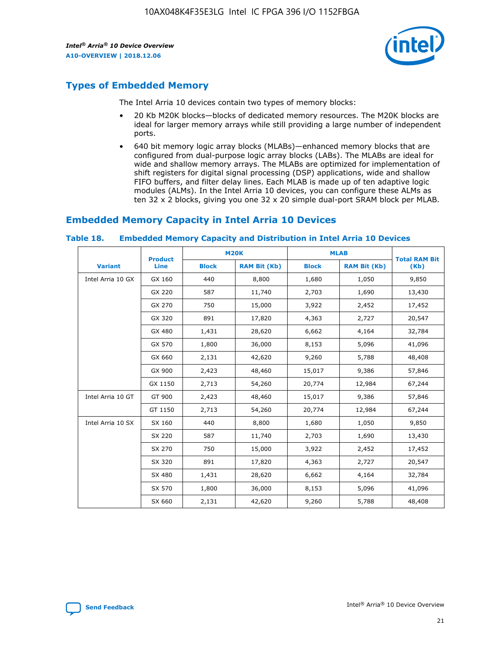

# **Types of Embedded Memory**

The Intel Arria 10 devices contain two types of memory blocks:

- 20 Kb M20K blocks—blocks of dedicated memory resources. The M20K blocks are ideal for larger memory arrays while still providing a large number of independent ports.
- 640 bit memory logic array blocks (MLABs)—enhanced memory blocks that are configured from dual-purpose logic array blocks (LABs). The MLABs are ideal for wide and shallow memory arrays. The MLABs are optimized for implementation of shift registers for digital signal processing (DSP) applications, wide and shallow FIFO buffers, and filter delay lines. Each MLAB is made up of ten adaptive logic modules (ALMs). In the Intel Arria 10 devices, you can configure these ALMs as ten 32 x 2 blocks, giving you one 32 x 20 simple dual-port SRAM block per MLAB.

# **Embedded Memory Capacity in Intel Arria 10 Devices**

|                   | <b>Product</b> |              | <b>M20K</b>         | <b>MLAB</b>  |                     | <b>Total RAM Bit</b> |
|-------------------|----------------|--------------|---------------------|--------------|---------------------|----------------------|
| <b>Variant</b>    | <b>Line</b>    | <b>Block</b> | <b>RAM Bit (Kb)</b> | <b>Block</b> | <b>RAM Bit (Kb)</b> | (Kb)                 |
| Intel Arria 10 GX | GX 160         | 440          | 8,800               | 1,680        | 1,050               | 9,850                |
|                   | GX 220         | 587          | 11,740              | 2,703        | 1,690               | 13,430               |
|                   | GX 270         | 750          | 15,000              | 3,922        | 2,452               | 17,452               |
|                   | GX 320         | 891          | 17,820              | 4,363        | 2,727               | 20,547               |
|                   | GX 480         | 1,431        | 28,620              | 6,662        | 4,164               | 32,784               |
|                   | GX 570         | 1,800        | 36,000              | 8,153        | 5,096               | 41,096               |
|                   | GX 660         | 2,131        | 42,620              | 9,260        | 5,788               | 48,408               |
|                   | GX 900         | 2,423        | 48,460              | 15,017       | 9,386               | 57,846               |
|                   | GX 1150        | 2,713        | 54,260              | 20,774       | 12,984              | 67,244               |
| Intel Arria 10 GT | GT 900         | 2,423        | 48,460              | 15,017       | 9,386               | 57,846               |
|                   | GT 1150        | 2,713        | 54,260              | 20,774       | 12,984              | 67,244               |
| Intel Arria 10 SX | SX 160         | 440          | 8,800               | 1,680        | 1,050               | 9,850                |
|                   | SX 220         | 587          | 11,740              | 2,703        | 1,690               | 13,430               |
|                   | SX 270         | 750          | 15,000              | 3,922        | 2,452               | 17,452               |
|                   | SX 320         | 891          | 17,820              | 4,363        | 2,727               | 20,547               |
|                   | SX 480         | 1,431        | 28,620              | 6,662        | 4,164               | 32,784               |
|                   | SX 570         | 1,800        | 36,000              | 8,153        | 5,096               | 41,096               |
|                   | SX 660         | 2,131        | 42,620              | 9,260        | 5,788               | 48,408               |

#### **Table 18. Embedded Memory Capacity and Distribution in Intel Arria 10 Devices**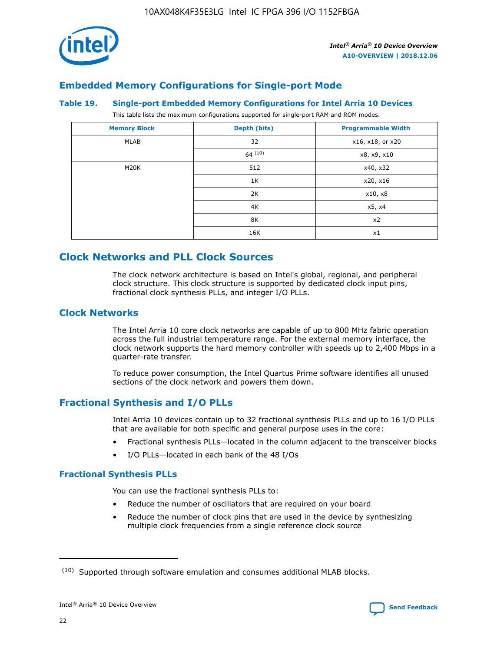

# **Embedded Memory Configurations for Single-port Mode**

#### **Table 19. Single-port Embedded Memory Configurations for Intel Arria 10 Devices**

This table lists the maximum configurations supported for single-port RAM and ROM modes.

| <b>Memory Block</b> | Depth (bits) | <b>Programmable Width</b> |
|---------------------|--------------|---------------------------|
| MLAB                | 32           | x16, x18, or x20          |
|                     | 64(10)       | x8, x9, x10               |
| M20K                | 512          | x40, x32                  |
|                     | 1K           | x20, x16                  |
|                     | 2K           | x10, x8                   |
|                     | 4K           | x5, x4                    |
|                     | 8K           | x2                        |
|                     | 16K          | x1                        |

# **Clock Networks and PLL Clock Sources**

The clock network architecture is based on Intel's global, regional, and peripheral clock structure. This clock structure is supported by dedicated clock input pins, fractional clock synthesis PLLs, and integer I/O PLLs.

# **Clock Networks**

The Intel Arria 10 core clock networks are capable of up to 800 MHz fabric operation across the full industrial temperature range. For the external memory interface, the clock network supports the hard memory controller with speeds up to 2,400 Mbps in a quarter-rate transfer.

To reduce power consumption, the Intel Quartus Prime software identifies all unused sections of the clock network and powers them down.

# **Fractional Synthesis and I/O PLLs**

Intel Arria 10 devices contain up to 32 fractional synthesis PLLs and up to 16 I/O PLLs that are available for both specific and general purpose uses in the core:

- Fractional synthesis PLLs—located in the column adjacent to the transceiver blocks
- I/O PLLs—located in each bank of the 48 I/Os

## **Fractional Synthesis PLLs**

You can use the fractional synthesis PLLs to:

- Reduce the number of oscillators that are required on your board
- Reduce the number of clock pins that are used in the device by synthesizing multiple clock frequencies from a single reference clock source

<sup>(10)</sup> Supported through software emulation and consumes additional MLAB blocks.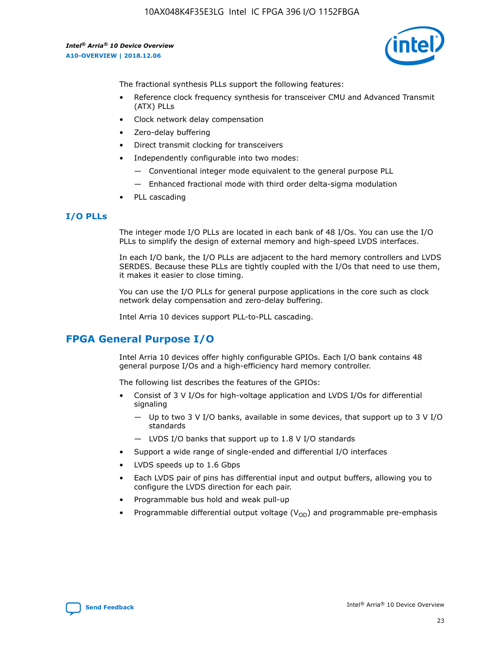

The fractional synthesis PLLs support the following features:

- Reference clock frequency synthesis for transceiver CMU and Advanced Transmit (ATX) PLLs
- Clock network delay compensation
- Zero-delay buffering
- Direct transmit clocking for transceivers
- Independently configurable into two modes:
	- Conventional integer mode equivalent to the general purpose PLL
	- Enhanced fractional mode with third order delta-sigma modulation
- PLL cascading

# **I/O PLLs**

The integer mode I/O PLLs are located in each bank of 48 I/Os. You can use the I/O PLLs to simplify the design of external memory and high-speed LVDS interfaces.

In each I/O bank, the I/O PLLs are adjacent to the hard memory controllers and LVDS SERDES. Because these PLLs are tightly coupled with the I/Os that need to use them, it makes it easier to close timing.

You can use the I/O PLLs for general purpose applications in the core such as clock network delay compensation and zero-delay buffering.

Intel Arria 10 devices support PLL-to-PLL cascading.

# **FPGA General Purpose I/O**

Intel Arria 10 devices offer highly configurable GPIOs. Each I/O bank contains 48 general purpose I/Os and a high-efficiency hard memory controller.

The following list describes the features of the GPIOs:

- Consist of 3 V I/Os for high-voltage application and LVDS I/Os for differential signaling
	- Up to two 3 V I/O banks, available in some devices, that support up to 3 V I/O standards
	- LVDS I/O banks that support up to 1.8 V I/O standards
- Support a wide range of single-ended and differential I/O interfaces
- LVDS speeds up to 1.6 Gbps
- Each LVDS pair of pins has differential input and output buffers, allowing you to configure the LVDS direction for each pair.
- Programmable bus hold and weak pull-up
- Programmable differential output voltage  $(V_{OD})$  and programmable pre-emphasis

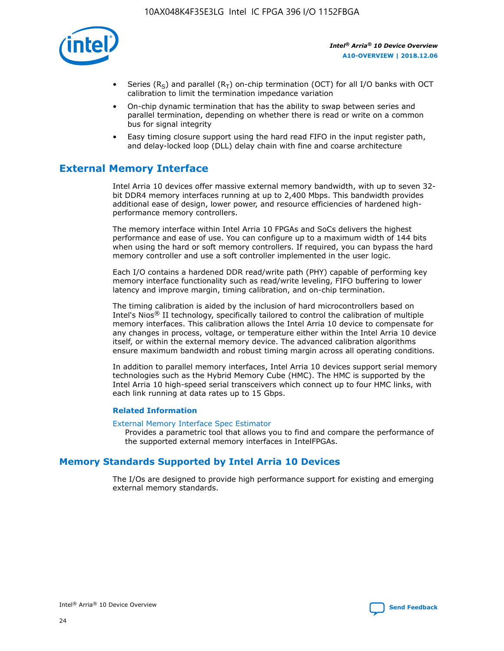

- Series (R<sub>S</sub>) and parallel (R<sub>T</sub>) on-chip termination (OCT) for all I/O banks with OCT calibration to limit the termination impedance variation
- On-chip dynamic termination that has the ability to swap between series and parallel termination, depending on whether there is read or write on a common bus for signal integrity
- Easy timing closure support using the hard read FIFO in the input register path, and delay-locked loop (DLL) delay chain with fine and coarse architecture

# **External Memory Interface**

Intel Arria 10 devices offer massive external memory bandwidth, with up to seven 32 bit DDR4 memory interfaces running at up to 2,400 Mbps. This bandwidth provides additional ease of design, lower power, and resource efficiencies of hardened highperformance memory controllers.

The memory interface within Intel Arria 10 FPGAs and SoCs delivers the highest performance and ease of use. You can configure up to a maximum width of 144 bits when using the hard or soft memory controllers. If required, you can bypass the hard memory controller and use a soft controller implemented in the user logic.

Each I/O contains a hardened DDR read/write path (PHY) capable of performing key memory interface functionality such as read/write leveling, FIFO buffering to lower latency and improve margin, timing calibration, and on-chip termination.

The timing calibration is aided by the inclusion of hard microcontrollers based on Intel's Nios® II technology, specifically tailored to control the calibration of multiple memory interfaces. This calibration allows the Intel Arria 10 device to compensate for any changes in process, voltage, or temperature either within the Intel Arria 10 device itself, or within the external memory device. The advanced calibration algorithms ensure maximum bandwidth and robust timing margin across all operating conditions.

In addition to parallel memory interfaces, Intel Arria 10 devices support serial memory technologies such as the Hybrid Memory Cube (HMC). The HMC is supported by the Intel Arria 10 high-speed serial transceivers which connect up to four HMC links, with each link running at data rates up to 15 Gbps.

## **Related Information**

#### [External Memory Interface Spec Estimator](http://www.altera.com/technology/memory/estimator/mem-emif-index.html)

Provides a parametric tool that allows you to find and compare the performance of the supported external memory interfaces in IntelFPGAs.

# **Memory Standards Supported by Intel Arria 10 Devices**

The I/Os are designed to provide high performance support for existing and emerging external memory standards.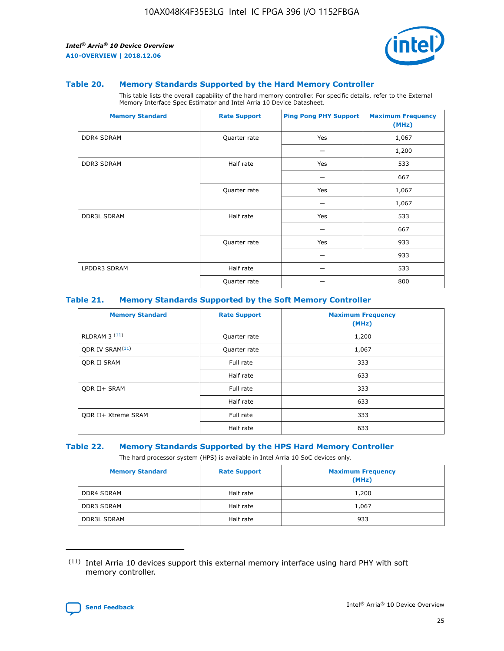

#### **Table 20. Memory Standards Supported by the Hard Memory Controller**

This table lists the overall capability of the hard memory controller. For specific details, refer to the External Memory Interface Spec Estimator and Intel Arria 10 Device Datasheet.

| <b>Memory Standard</b> | <b>Rate Support</b> | <b>Ping Pong PHY Support</b> | <b>Maximum Frequency</b><br>(MHz) |
|------------------------|---------------------|------------------------------|-----------------------------------|
| <b>DDR4 SDRAM</b>      | Quarter rate        | Yes                          | 1,067                             |
|                        |                     |                              | 1,200                             |
| <b>DDR3 SDRAM</b>      | Half rate           | Yes                          | 533                               |
|                        |                     |                              | 667                               |
|                        | Quarter rate        | Yes                          | 1,067                             |
|                        |                     |                              | 1,067                             |
| <b>DDR3L SDRAM</b>     | Half rate           | Yes                          | 533                               |
|                        |                     |                              | 667                               |
|                        | Quarter rate        | Yes                          | 933                               |
|                        |                     |                              | 933                               |
| LPDDR3 SDRAM           | Half rate           |                              | 533                               |
|                        | Quarter rate        |                              | 800                               |

## **Table 21. Memory Standards Supported by the Soft Memory Controller**

| <b>Memory Standard</b>      | <b>Rate Support</b> | <b>Maximum Frequency</b><br>(MHz) |
|-----------------------------|---------------------|-----------------------------------|
| <b>RLDRAM 3 (11)</b>        | Quarter rate        | 1,200                             |
| ODR IV SRAM <sup>(11)</sup> | Quarter rate        | 1,067                             |
| <b>ODR II SRAM</b>          | Full rate           | 333                               |
|                             | Half rate           | 633                               |
| <b>ODR II+ SRAM</b>         | Full rate           | 333                               |
|                             | Half rate           | 633                               |
| <b>ODR II+ Xtreme SRAM</b>  | Full rate           | 333                               |
|                             | Half rate           | 633                               |

## **Table 22. Memory Standards Supported by the HPS Hard Memory Controller**

The hard processor system (HPS) is available in Intel Arria 10 SoC devices only.

| <b>Memory Standard</b> | <b>Rate Support</b> | <b>Maximum Frequency</b><br>(MHz) |
|------------------------|---------------------|-----------------------------------|
| <b>DDR4 SDRAM</b>      | Half rate           | 1,200                             |
| <b>DDR3 SDRAM</b>      | Half rate           | 1,067                             |
| <b>DDR3L SDRAM</b>     | Half rate           | 933                               |

<sup>(11)</sup> Intel Arria 10 devices support this external memory interface using hard PHY with soft memory controller.

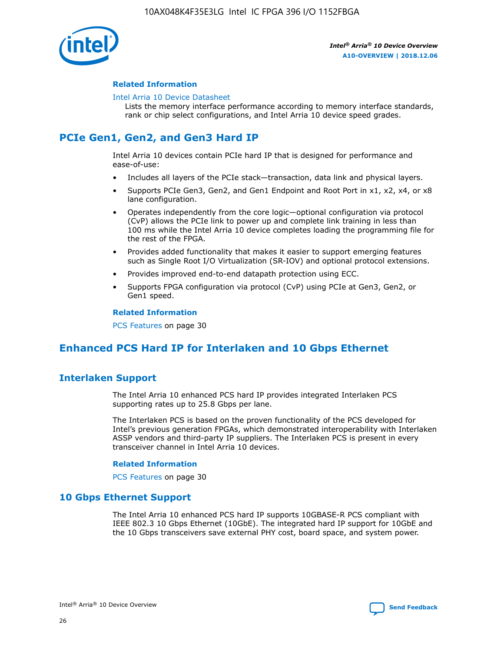

## **Related Information**

#### [Intel Arria 10 Device Datasheet](https://www.intel.com/content/www/us/en/programmable/documentation/mcn1413182292568.html#mcn1413182153340)

Lists the memory interface performance according to memory interface standards, rank or chip select configurations, and Intel Arria 10 device speed grades.

# **PCIe Gen1, Gen2, and Gen3 Hard IP**

Intel Arria 10 devices contain PCIe hard IP that is designed for performance and ease-of-use:

- Includes all layers of the PCIe stack—transaction, data link and physical layers.
- Supports PCIe Gen3, Gen2, and Gen1 Endpoint and Root Port in x1, x2, x4, or x8 lane configuration.
- Operates independently from the core logic—optional configuration via protocol (CvP) allows the PCIe link to power up and complete link training in less than 100 ms while the Intel Arria 10 device completes loading the programming file for the rest of the FPGA.
- Provides added functionality that makes it easier to support emerging features such as Single Root I/O Virtualization (SR-IOV) and optional protocol extensions.
- Provides improved end-to-end datapath protection using ECC.
- Supports FPGA configuration via protocol (CvP) using PCIe at Gen3, Gen2, or Gen1 speed.

#### **Related Information**

PCS Features on page 30

# **Enhanced PCS Hard IP for Interlaken and 10 Gbps Ethernet**

# **Interlaken Support**

The Intel Arria 10 enhanced PCS hard IP provides integrated Interlaken PCS supporting rates up to 25.8 Gbps per lane.

The Interlaken PCS is based on the proven functionality of the PCS developed for Intel's previous generation FPGAs, which demonstrated interoperability with Interlaken ASSP vendors and third-party IP suppliers. The Interlaken PCS is present in every transceiver channel in Intel Arria 10 devices.

## **Related Information**

PCS Features on page 30

# **10 Gbps Ethernet Support**

The Intel Arria 10 enhanced PCS hard IP supports 10GBASE-R PCS compliant with IEEE 802.3 10 Gbps Ethernet (10GbE). The integrated hard IP support for 10GbE and the 10 Gbps transceivers save external PHY cost, board space, and system power.

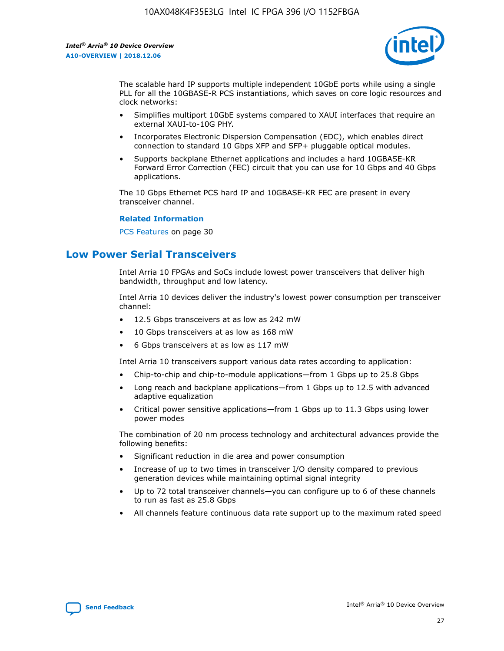

The scalable hard IP supports multiple independent 10GbE ports while using a single PLL for all the 10GBASE-R PCS instantiations, which saves on core logic resources and clock networks:

- Simplifies multiport 10GbE systems compared to XAUI interfaces that require an external XAUI-to-10G PHY.
- Incorporates Electronic Dispersion Compensation (EDC), which enables direct connection to standard 10 Gbps XFP and SFP+ pluggable optical modules.
- Supports backplane Ethernet applications and includes a hard 10GBASE-KR Forward Error Correction (FEC) circuit that you can use for 10 Gbps and 40 Gbps applications.

The 10 Gbps Ethernet PCS hard IP and 10GBASE-KR FEC are present in every transceiver channel.

#### **Related Information**

PCS Features on page 30

# **Low Power Serial Transceivers**

Intel Arria 10 FPGAs and SoCs include lowest power transceivers that deliver high bandwidth, throughput and low latency.

Intel Arria 10 devices deliver the industry's lowest power consumption per transceiver channel:

- 12.5 Gbps transceivers at as low as 242 mW
- 10 Gbps transceivers at as low as 168 mW
- 6 Gbps transceivers at as low as 117 mW

Intel Arria 10 transceivers support various data rates according to application:

- Chip-to-chip and chip-to-module applications—from 1 Gbps up to 25.8 Gbps
- Long reach and backplane applications—from 1 Gbps up to 12.5 with advanced adaptive equalization
- Critical power sensitive applications—from 1 Gbps up to 11.3 Gbps using lower power modes

The combination of 20 nm process technology and architectural advances provide the following benefits:

- Significant reduction in die area and power consumption
- Increase of up to two times in transceiver I/O density compared to previous generation devices while maintaining optimal signal integrity
- Up to 72 total transceiver channels—you can configure up to 6 of these channels to run as fast as 25.8 Gbps
- All channels feature continuous data rate support up to the maximum rated speed

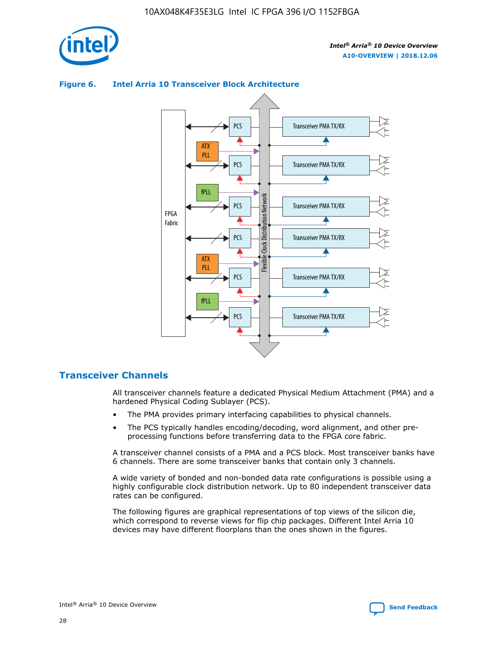

## **Figure 6. Intel Arria 10 Transceiver Block Architecture**



# **Transceiver Channels**

All transceiver channels feature a dedicated Physical Medium Attachment (PMA) and a hardened Physical Coding Sublayer (PCS).

- The PMA provides primary interfacing capabilities to physical channels.
- The PCS typically handles encoding/decoding, word alignment, and other preprocessing functions before transferring data to the FPGA core fabric.

A transceiver channel consists of a PMA and a PCS block. Most transceiver banks have 6 channels. There are some transceiver banks that contain only 3 channels.

A wide variety of bonded and non-bonded data rate configurations is possible using a highly configurable clock distribution network. Up to 80 independent transceiver data rates can be configured.

The following figures are graphical representations of top views of the silicon die, which correspond to reverse views for flip chip packages. Different Intel Arria 10 devices may have different floorplans than the ones shown in the figures.

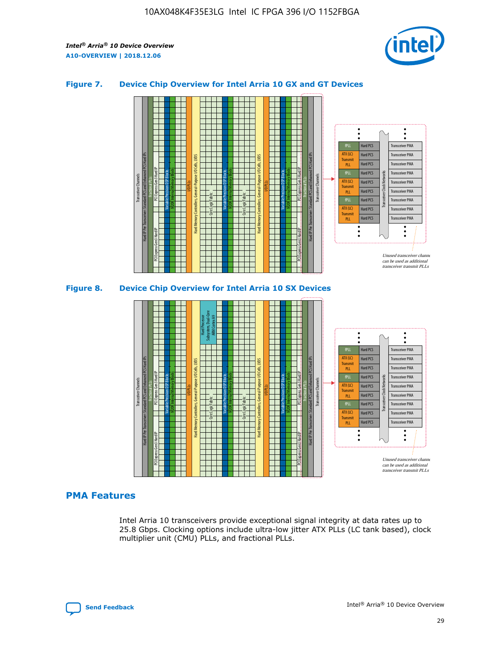

## **Figure 7. Device Chip Overview for Intel Arria 10 GX and GT Devices**



M20K Internal Memory Blocks Core Logic Fabric Transceiver Channels Hard IP Per Transceiver: Standard PCS and Enhanced PCS Hard IPs PCI Express Gen3 Hard IP Fractional PLLs M20K Internal Memory Blocks PCI Express Gen3 Hard IP Variable Precision DSP Blocks I/O PLLs Hard Memory Controllers, General-Purpose I/O Cells, LVDS Hard Processor Subsystem, Dual-Core ARM Cortex A9 M20K Internal Memory Blocks Variable Precision DSP Blocks M20K Internal Memory Blocks Core Logic Fabric I/O PLLs Hard Memory Controllers, General-Purpose I/O Cells, LVDS M20K Internal Memory Blocks Variable Precision DSP Blocks M20K Internal Memory Blocks Transceiver Channels Hard IP Per Transceiver: Standard PCS and Enhanced PCS Hard IPs PCI Express Gen3 Hard IP Fractional PLLs PCI Express Gen3 Hard IP Hard PCS Hard PCS Hard PCS Hard PCS Hard PCS Hard PCS Hard PCS Hard PCS Transceiver PMA Transceiver PMA Transceiver PMA Transceiver PMA Transceiver PMA Transceiver PMA Unused transceiver chann can be used as additional transceiver transmit PLLs Transceiver PMA Transceiver PMA Transceiver Clock Networks ATX (LC) **Transmit** PLL fPLL ATX (LC) Transmi PLL fPLL ATX (LC) **Transmit** PLL

# **PMA Features**

Intel Arria 10 transceivers provide exceptional signal integrity at data rates up to 25.8 Gbps. Clocking options include ultra-low jitter ATX PLLs (LC tank based), clock multiplier unit (CMU) PLLs, and fractional PLLs.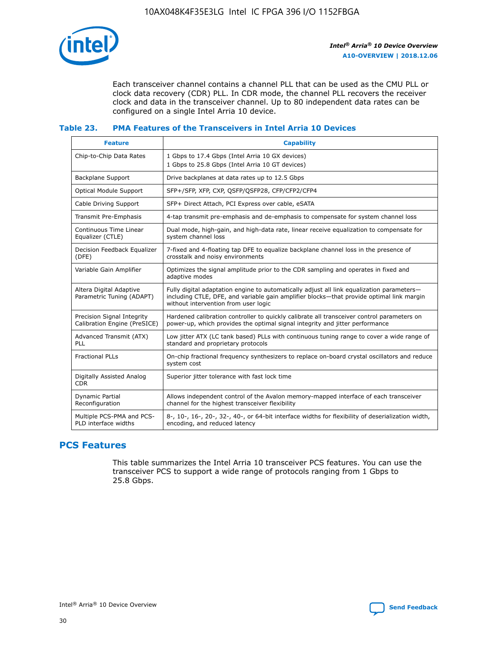

Each transceiver channel contains a channel PLL that can be used as the CMU PLL or clock data recovery (CDR) PLL. In CDR mode, the channel PLL recovers the receiver clock and data in the transceiver channel. Up to 80 independent data rates can be configured on a single Intel Arria 10 device.

## **Table 23. PMA Features of the Transceivers in Intel Arria 10 Devices**

| <b>Feature</b>                                             | <b>Capability</b>                                                                                                                                                                                                             |
|------------------------------------------------------------|-------------------------------------------------------------------------------------------------------------------------------------------------------------------------------------------------------------------------------|
| Chip-to-Chip Data Rates                                    | 1 Gbps to 17.4 Gbps (Intel Arria 10 GX devices)<br>1 Gbps to 25.8 Gbps (Intel Arria 10 GT devices)                                                                                                                            |
| <b>Backplane Support</b>                                   | Drive backplanes at data rates up to 12.5 Gbps                                                                                                                                                                                |
| <b>Optical Module Support</b>                              | SFP+/SFP, XFP, CXP, QSFP/QSFP28, CFP/CFP2/CFP4                                                                                                                                                                                |
| Cable Driving Support                                      | SFP+ Direct Attach, PCI Express over cable, eSATA                                                                                                                                                                             |
| Transmit Pre-Emphasis                                      | 4-tap transmit pre-emphasis and de-emphasis to compensate for system channel loss                                                                                                                                             |
| Continuous Time Linear<br>Equalizer (CTLE)                 | Dual mode, high-gain, and high-data rate, linear receive equalization to compensate for<br>system channel loss                                                                                                                |
| Decision Feedback Equalizer<br>(DFE)                       | 7-fixed and 4-floating tap DFE to equalize backplane channel loss in the presence of<br>crosstalk and noisy environments                                                                                                      |
| Variable Gain Amplifier                                    | Optimizes the signal amplitude prior to the CDR sampling and operates in fixed and<br>adaptive modes                                                                                                                          |
| Altera Digital Adaptive<br>Parametric Tuning (ADAPT)       | Fully digital adaptation engine to automatically adjust all link equalization parameters-<br>including CTLE, DFE, and variable gain amplifier blocks—that provide optimal link margin<br>without intervention from user logic |
| Precision Signal Integrity<br>Calibration Engine (PreSICE) | Hardened calibration controller to quickly calibrate all transceiver control parameters on<br>power-up, which provides the optimal signal integrity and jitter performance                                                    |
| Advanced Transmit (ATX)<br><b>PLL</b>                      | Low jitter ATX (LC tank based) PLLs with continuous tuning range to cover a wide range of<br>standard and proprietary protocols                                                                                               |
| <b>Fractional PLLs</b>                                     | On-chip fractional frequency synthesizers to replace on-board crystal oscillators and reduce<br>system cost                                                                                                                   |
| Digitally Assisted Analog<br><b>CDR</b>                    | Superior jitter tolerance with fast lock time                                                                                                                                                                                 |
| Dynamic Partial<br>Reconfiguration                         | Allows independent control of the Avalon memory-mapped interface of each transceiver<br>channel for the highest transceiver flexibility                                                                                       |
| Multiple PCS-PMA and PCS-<br>PLD interface widths          | 8-, 10-, 16-, 20-, 32-, 40-, or 64-bit interface widths for flexibility of deserialization width,<br>encoding, and reduced latency                                                                                            |

# **PCS Features**

This table summarizes the Intel Arria 10 transceiver PCS features. You can use the transceiver PCS to support a wide range of protocols ranging from 1 Gbps to 25.8 Gbps.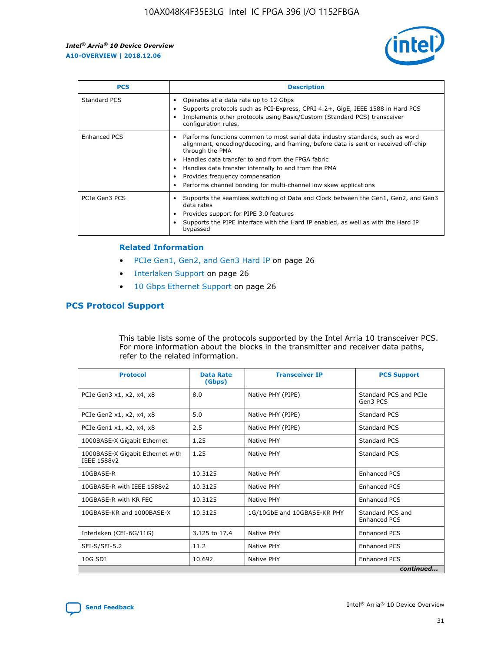

| <b>PCS</b>          | <b>Description</b>                                                                                                                                                                                                                                                                                                                                                                                             |
|---------------------|----------------------------------------------------------------------------------------------------------------------------------------------------------------------------------------------------------------------------------------------------------------------------------------------------------------------------------------------------------------------------------------------------------------|
| Standard PCS        | Operates at a data rate up to 12 Gbps<br>Supports protocols such as PCI-Express, CPRI 4.2+, GigE, IEEE 1588 in Hard PCS<br>Implements other protocols using Basic/Custom (Standard PCS) transceiver<br>configuration rules.                                                                                                                                                                                    |
| <b>Enhanced PCS</b> | Performs functions common to most serial data industry standards, such as word<br>alignment, encoding/decoding, and framing, before data is sent or received off-chip<br>through the PMA<br>• Handles data transfer to and from the FPGA fabric<br>Handles data transfer internally to and from the PMA<br>Provides frequency compensation<br>Performs channel bonding for multi-channel low skew applications |
| PCIe Gen3 PCS       | Supports the seamless switching of Data and Clock between the Gen1, Gen2, and Gen3<br>data rates<br>Provides support for PIPE 3.0 features<br>Supports the PIPE interface with the Hard IP enabled, as well as with the Hard IP<br>bypassed                                                                                                                                                                    |

#### **Related Information**

- PCIe Gen1, Gen2, and Gen3 Hard IP on page 26
- Interlaken Support on page 26
- 10 Gbps Ethernet Support on page 26

# **PCS Protocol Support**

This table lists some of the protocols supported by the Intel Arria 10 transceiver PCS. For more information about the blocks in the transmitter and receiver data paths, refer to the related information.

| <b>Protocol</b>                                 | <b>Data Rate</b><br>(Gbps) | <b>Transceiver IP</b>       | <b>PCS Support</b>                      |
|-------------------------------------------------|----------------------------|-----------------------------|-----------------------------------------|
| PCIe Gen3 x1, x2, x4, x8                        | 8.0                        | Native PHY (PIPE)           | Standard PCS and PCIe<br>Gen3 PCS       |
| PCIe Gen2 x1, x2, x4, x8                        | 5.0                        | Native PHY (PIPE)           | <b>Standard PCS</b>                     |
| PCIe Gen1 x1, x2, x4, x8                        | 2.5                        | Native PHY (PIPE)           | Standard PCS                            |
| 1000BASE-X Gigabit Ethernet                     | 1.25                       | Native PHY                  | <b>Standard PCS</b>                     |
| 1000BASE-X Gigabit Ethernet with<br>IEEE 1588v2 | 1.25                       | Native PHY                  | Standard PCS                            |
| 10GBASE-R                                       | 10.3125                    | Native PHY                  | <b>Enhanced PCS</b>                     |
| 10GBASE-R with IEEE 1588v2                      | 10.3125                    | Native PHY                  | <b>Enhanced PCS</b>                     |
| 10GBASE-R with KR FEC                           | 10.3125                    | Native PHY                  | <b>Enhanced PCS</b>                     |
| 10GBASE-KR and 1000BASE-X                       | 10.3125                    | 1G/10GbE and 10GBASE-KR PHY | Standard PCS and<br><b>Enhanced PCS</b> |
| Interlaken (CEI-6G/11G)                         | 3.125 to 17.4              | Native PHY                  | <b>Enhanced PCS</b>                     |
| SFI-S/SFI-5.2                                   | 11.2                       | Native PHY                  | <b>Enhanced PCS</b>                     |
| 10G SDI                                         | 10.692                     | Native PHY                  | <b>Enhanced PCS</b>                     |
|                                                 |                            |                             | continued                               |



**[Send Feedback](mailto:FPGAtechdocfeedback@intel.com?subject=Feedback%20on%20Intel%20Arria%2010%20Device%20Overview%20(A10-OVERVIEW%202018.12.06)&body=We%20appreciate%20your%20feedback.%20In%20your%20comments,%20also%20specify%20the%20page%20number%20or%20paragraph.%20Thank%20you.) Intel®** Arria<sup>®</sup> 10 Device Overview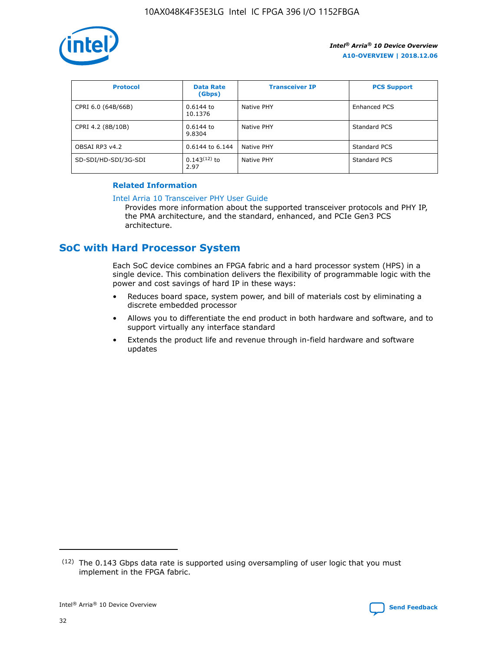

| <b>Protocol</b>      | <b>Data Rate</b><br>(Gbps) | <b>Transceiver IP</b> | <b>PCS Support</b> |
|----------------------|----------------------------|-----------------------|--------------------|
| CPRI 6.0 (64B/66B)   | 0.6144 to<br>10.1376       | Native PHY            | Enhanced PCS       |
| CPRI 4.2 (8B/10B)    | $0.6144$ to<br>9.8304      | Native PHY            | Standard PCS       |
| OBSAI RP3 v4.2       | 0.6144 to 6.144            | Native PHY            | Standard PCS       |
| SD-SDI/HD-SDI/3G-SDI | $0.143(12)$ to<br>2.97     | Native PHY            | Standard PCS       |

## **Related Information**

#### [Intel Arria 10 Transceiver PHY User Guide](https://www.intel.com/content/www/us/en/programmable/documentation/nik1398707230472.html#nik1398707091164)

Provides more information about the supported transceiver protocols and PHY IP, the PMA architecture, and the standard, enhanced, and PCIe Gen3 PCS architecture.

# **SoC with Hard Processor System**

Each SoC device combines an FPGA fabric and a hard processor system (HPS) in a single device. This combination delivers the flexibility of programmable logic with the power and cost savings of hard IP in these ways:

- Reduces board space, system power, and bill of materials cost by eliminating a discrete embedded processor
- Allows you to differentiate the end product in both hardware and software, and to support virtually any interface standard
- Extends the product life and revenue through in-field hardware and software updates

 $(12)$  The 0.143 Gbps data rate is supported using oversampling of user logic that you must implement in the FPGA fabric.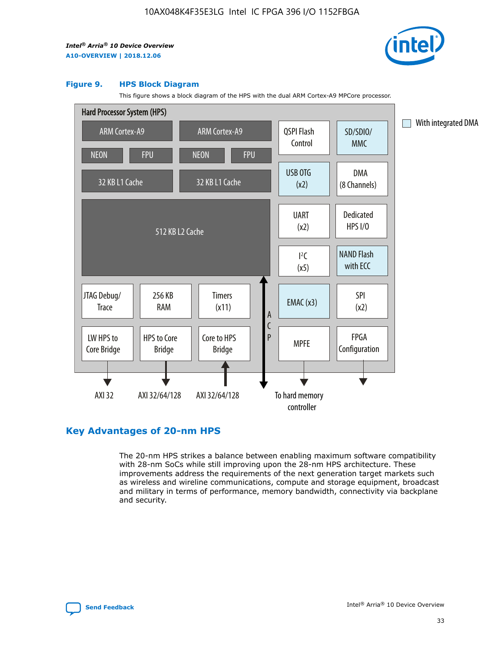

#### **Figure 9. HPS Block Diagram**

This figure shows a block diagram of the HPS with the dual ARM Cortex-A9 MPCore processor.



# **Key Advantages of 20-nm HPS**

The 20-nm HPS strikes a balance between enabling maximum software compatibility with 28-nm SoCs while still improving upon the 28-nm HPS architecture. These improvements address the requirements of the next generation target markets such as wireless and wireline communications, compute and storage equipment, broadcast and military in terms of performance, memory bandwidth, connectivity via backplane and security.

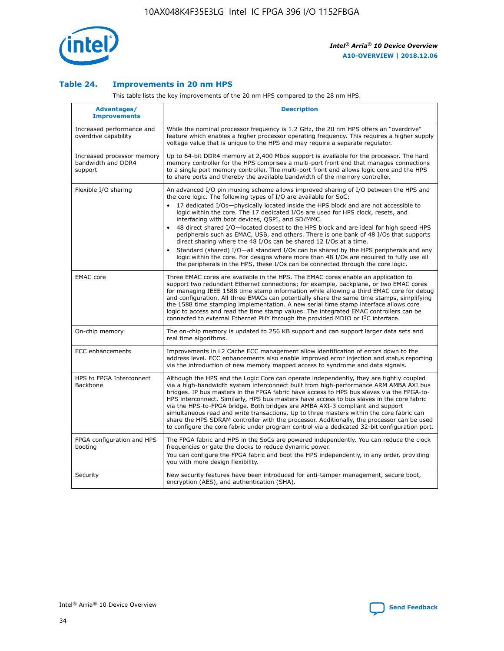

## **Table 24. Improvements in 20 nm HPS**

This table lists the key improvements of the 20 nm HPS compared to the 28 nm HPS.

| <b>Advantages/</b><br><b>Improvements</b>                   | <b>Description</b>                                                                                                                                                                                                                                                                                                                                                                                                                                                                                                                                                                                                                                                                                                                                                                                                                                                                                                      |
|-------------------------------------------------------------|-------------------------------------------------------------------------------------------------------------------------------------------------------------------------------------------------------------------------------------------------------------------------------------------------------------------------------------------------------------------------------------------------------------------------------------------------------------------------------------------------------------------------------------------------------------------------------------------------------------------------------------------------------------------------------------------------------------------------------------------------------------------------------------------------------------------------------------------------------------------------------------------------------------------------|
| Increased performance and<br>overdrive capability           | While the nominal processor frequency is 1.2 GHz, the 20 nm HPS offers an "overdrive"<br>feature which enables a higher processor operating frequency. This requires a higher supply<br>voltage value that is unique to the HPS and may require a separate regulator.                                                                                                                                                                                                                                                                                                                                                                                                                                                                                                                                                                                                                                                   |
| Increased processor memory<br>bandwidth and DDR4<br>support | Up to 64-bit DDR4 memory at 2,400 Mbps support is available for the processor. The hard<br>memory controller for the HPS comprises a multi-port front end that manages connections<br>to a single port memory controller. The multi-port front end allows logic core and the HPS<br>to share ports and thereby the available bandwidth of the memory controller.                                                                                                                                                                                                                                                                                                                                                                                                                                                                                                                                                        |
| Flexible I/O sharing                                        | An advanced I/O pin muxing scheme allows improved sharing of I/O between the HPS and<br>the core logic. The following types of I/O are available for SoC:<br>17 dedicated I/Os-physically located inside the HPS block and are not accessible to<br>logic within the core. The 17 dedicated I/Os are used for HPS clock, resets, and<br>interfacing with boot devices, QSPI, and SD/MMC.<br>48 direct shared I/O-located closest to the HPS block and are ideal for high speed HPS<br>peripherals such as EMAC, USB, and others. There is one bank of 48 I/Os that supports<br>direct sharing where the 48 I/Os can be shared 12 I/Os at a time.<br>Standard (shared) I/O-all standard I/Os can be shared by the HPS peripherals and any<br>logic within the core. For designs where more than 48 I/Os are required to fully use all<br>the peripherals in the HPS, these I/Os can be connected through the core logic. |
| <b>EMAC</b> core                                            | Three EMAC cores are available in the HPS. The EMAC cores enable an application to<br>support two redundant Ethernet connections; for example, backplane, or two EMAC cores<br>for managing IEEE 1588 time stamp information while allowing a third EMAC core for debug<br>and configuration. All three EMACs can potentially share the same time stamps, simplifying<br>the 1588 time stamping implementation. A new serial time stamp interface allows core<br>logic to access and read the time stamp values. The integrated EMAC controllers can be<br>connected to external Ethernet PHY through the provided MDIO or I <sup>2</sup> C interface.                                                                                                                                                                                                                                                                  |
| On-chip memory                                              | The on-chip memory is updated to 256 KB support and can support larger data sets and<br>real time algorithms.                                                                                                                                                                                                                                                                                                                                                                                                                                                                                                                                                                                                                                                                                                                                                                                                           |
| <b>ECC</b> enhancements                                     | Improvements in L2 Cache ECC management allow identification of errors down to the<br>address level. ECC enhancements also enable improved error injection and status reporting<br>via the introduction of new memory mapped access to syndrome and data signals.                                                                                                                                                                                                                                                                                                                                                                                                                                                                                                                                                                                                                                                       |
| HPS to FPGA Interconnect<br>Backbone                        | Although the HPS and the Logic Core can operate independently, they are tightly coupled<br>via a high-bandwidth system interconnect built from high-performance ARM AMBA AXI bus<br>bridges. IP bus masters in the FPGA fabric have access to HPS bus slaves via the FPGA-to-<br>HPS interconnect. Similarly, HPS bus masters have access to bus slaves in the core fabric<br>via the HPS-to-FPGA bridge. Both bridges are AMBA AXI-3 compliant and support<br>simultaneous read and write transactions. Up to three masters within the core fabric can<br>share the HPS SDRAM controller with the processor. Additionally, the processor can be used<br>to configure the core fabric under program control via a dedicated 32-bit configuration port.                                                                                                                                                                  |
| FPGA configuration and HPS<br>booting                       | The FPGA fabric and HPS in the SoCs are powered independently. You can reduce the clock<br>frequencies or gate the clocks to reduce dynamic power.<br>You can configure the FPGA fabric and boot the HPS independently, in any order, providing<br>you with more design flexibility.                                                                                                                                                                                                                                                                                                                                                                                                                                                                                                                                                                                                                                    |
| Security                                                    | New security features have been introduced for anti-tamper management, secure boot,<br>encryption (AES), and authentication (SHA).                                                                                                                                                                                                                                                                                                                                                                                                                                                                                                                                                                                                                                                                                                                                                                                      |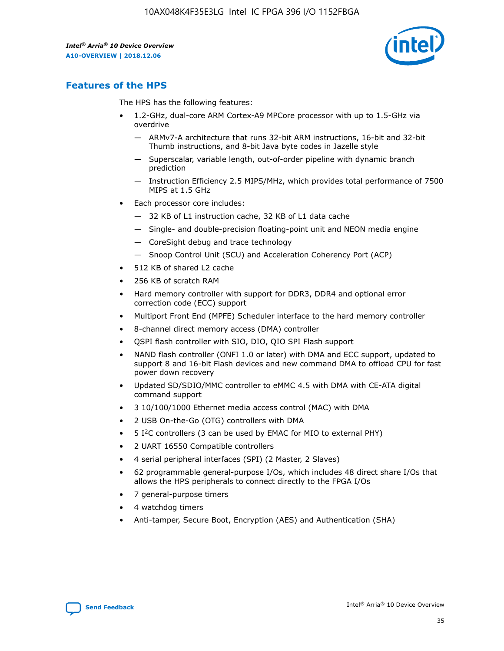

# **Features of the HPS**

The HPS has the following features:

- 1.2-GHz, dual-core ARM Cortex-A9 MPCore processor with up to 1.5-GHz via overdrive
	- ARMv7-A architecture that runs 32-bit ARM instructions, 16-bit and 32-bit Thumb instructions, and 8-bit Java byte codes in Jazelle style
	- Superscalar, variable length, out-of-order pipeline with dynamic branch prediction
	- Instruction Efficiency 2.5 MIPS/MHz, which provides total performance of 7500 MIPS at 1.5 GHz
- Each processor core includes:
	- 32 KB of L1 instruction cache, 32 KB of L1 data cache
	- Single- and double-precision floating-point unit and NEON media engine
	- CoreSight debug and trace technology
	- Snoop Control Unit (SCU) and Acceleration Coherency Port (ACP)
- 512 KB of shared L2 cache
- 256 KB of scratch RAM
- Hard memory controller with support for DDR3, DDR4 and optional error correction code (ECC) support
- Multiport Front End (MPFE) Scheduler interface to the hard memory controller
- 8-channel direct memory access (DMA) controller
- QSPI flash controller with SIO, DIO, QIO SPI Flash support
- NAND flash controller (ONFI 1.0 or later) with DMA and ECC support, updated to support 8 and 16-bit Flash devices and new command DMA to offload CPU for fast power down recovery
- Updated SD/SDIO/MMC controller to eMMC 4.5 with DMA with CE-ATA digital command support
- 3 10/100/1000 Ethernet media access control (MAC) with DMA
- 2 USB On-the-Go (OTG) controllers with DMA
- $\bullet$  5 I<sup>2</sup>C controllers (3 can be used by EMAC for MIO to external PHY)
- 2 UART 16550 Compatible controllers
- 4 serial peripheral interfaces (SPI) (2 Master, 2 Slaves)
- 62 programmable general-purpose I/Os, which includes 48 direct share I/Os that allows the HPS peripherals to connect directly to the FPGA I/Os
- 7 general-purpose timers
- 4 watchdog timers
- Anti-tamper, Secure Boot, Encryption (AES) and Authentication (SHA)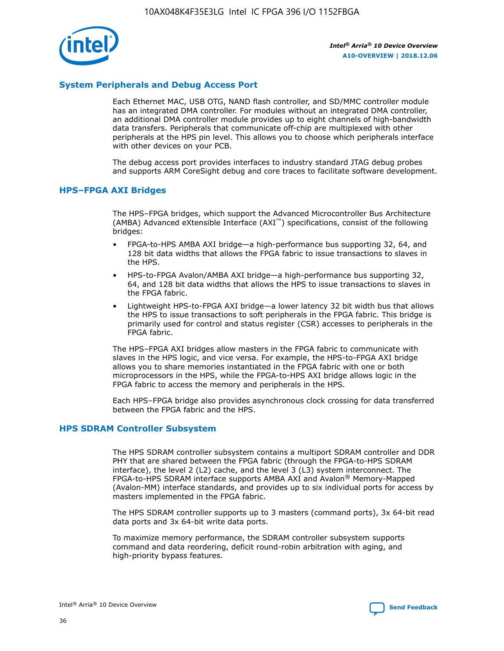

# **System Peripherals and Debug Access Port**

Each Ethernet MAC, USB OTG, NAND flash controller, and SD/MMC controller module has an integrated DMA controller. For modules without an integrated DMA controller, an additional DMA controller module provides up to eight channels of high-bandwidth data transfers. Peripherals that communicate off-chip are multiplexed with other peripherals at the HPS pin level. This allows you to choose which peripherals interface with other devices on your PCB.

The debug access port provides interfaces to industry standard JTAG debug probes and supports ARM CoreSight debug and core traces to facilitate software development.

#### **HPS–FPGA AXI Bridges**

The HPS–FPGA bridges, which support the Advanced Microcontroller Bus Architecture (AMBA) Advanced eXtensible Interface (AXI™) specifications, consist of the following bridges:

- FPGA-to-HPS AMBA AXI bridge—a high-performance bus supporting 32, 64, and 128 bit data widths that allows the FPGA fabric to issue transactions to slaves in the HPS.
- HPS-to-FPGA Avalon/AMBA AXI bridge—a high-performance bus supporting 32, 64, and 128 bit data widths that allows the HPS to issue transactions to slaves in the FPGA fabric.
- Lightweight HPS-to-FPGA AXI bridge—a lower latency 32 bit width bus that allows the HPS to issue transactions to soft peripherals in the FPGA fabric. This bridge is primarily used for control and status register (CSR) accesses to peripherals in the FPGA fabric.

The HPS–FPGA AXI bridges allow masters in the FPGA fabric to communicate with slaves in the HPS logic, and vice versa. For example, the HPS-to-FPGA AXI bridge allows you to share memories instantiated in the FPGA fabric with one or both microprocessors in the HPS, while the FPGA-to-HPS AXI bridge allows logic in the FPGA fabric to access the memory and peripherals in the HPS.

Each HPS–FPGA bridge also provides asynchronous clock crossing for data transferred between the FPGA fabric and the HPS.

#### **HPS SDRAM Controller Subsystem**

The HPS SDRAM controller subsystem contains a multiport SDRAM controller and DDR PHY that are shared between the FPGA fabric (through the FPGA-to-HPS SDRAM interface), the level 2 (L2) cache, and the level 3 (L3) system interconnect. The FPGA-to-HPS SDRAM interface supports AMBA AXI and Avalon® Memory-Mapped (Avalon-MM) interface standards, and provides up to six individual ports for access by masters implemented in the FPGA fabric.

The HPS SDRAM controller supports up to 3 masters (command ports), 3x 64-bit read data ports and 3x 64-bit write data ports.

To maximize memory performance, the SDRAM controller subsystem supports command and data reordering, deficit round-robin arbitration with aging, and high-priority bypass features.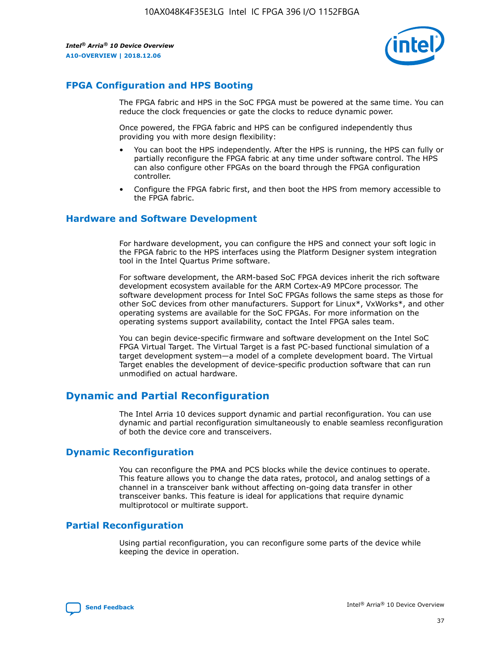

# **FPGA Configuration and HPS Booting**

The FPGA fabric and HPS in the SoC FPGA must be powered at the same time. You can reduce the clock frequencies or gate the clocks to reduce dynamic power.

Once powered, the FPGA fabric and HPS can be configured independently thus providing you with more design flexibility:

- You can boot the HPS independently. After the HPS is running, the HPS can fully or partially reconfigure the FPGA fabric at any time under software control. The HPS can also configure other FPGAs on the board through the FPGA configuration controller.
- Configure the FPGA fabric first, and then boot the HPS from memory accessible to the FPGA fabric.

## **Hardware and Software Development**

For hardware development, you can configure the HPS and connect your soft logic in the FPGA fabric to the HPS interfaces using the Platform Designer system integration tool in the Intel Quartus Prime software.

For software development, the ARM-based SoC FPGA devices inherit the rich software development ecosystem available for the ARM Cortex-A9 MPCore processor. The software development process for Intel SoC FPGAs follows the same steps as those for other SoC devices from other manufacturers. Support for Linux\*, VxWorks\*, and other operating systems are available for the SoC FPGAs. For more information on the operating systems support availability, contact the Intel FPGA sales team.

You can begin device-specific firmware and software development on the Intel SoC FPGA Virtual Target. The Virtual Target is a fast PC-based functional simulation of a target development system—a model of a complete development board. The Virtual Target enables the development of device-specific production software that can run unmodified on actual hardware.

# **Dynamic and Partial Reconfiguration**

The Intel Arria 10 devices support dynamic and partial reconfiguration. You can use dynamic and partial reconfiguration simultaneously to enable seamless reconfiguration of both the device core and transceivers.

# **Dynamic Reconfiguration**

You can reconfigure the PMA and PCS blocks while the device continues to operate. This feature allows you to change the data rates, protocol, and analog settings of a channel in a transceiver bank without affecting on-going data transfer in other transceiver banks. This feature is ideal for applications that require dynamic multiprotocol or multirate support.

# **Partial Reconfiguration**

Using partial reconfiguration, you can reconfigure some parts of the device while keeping the device in operation.

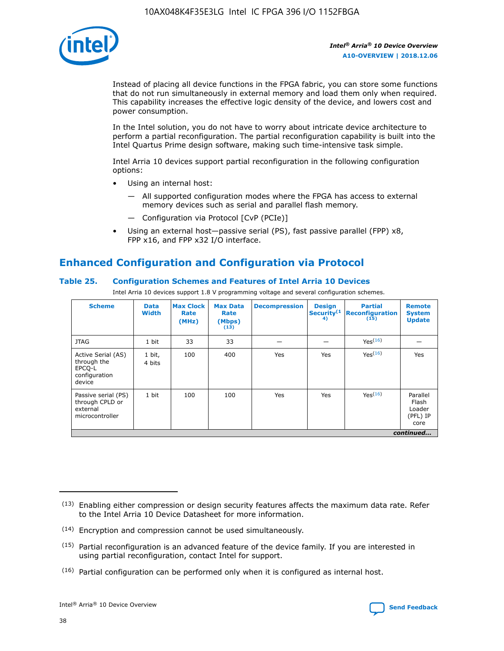

Instead of placing all device functions in the FPGA fabric, you can store some functions that do not run simultaneously in external memory and load them only when required. This capability increases the effective logic density of the device, and lowers cost and power consumption.

In the Intel solution, you do not have to worry about intricate device architecture to perform a partial reconfiguration. The partial reconfiguration capability is built into the Intel Quartus Prime design software, making such time-intensive task simple.

Intel Arria 10 devices support partial reconfiguration in the following configuration options:

- Using an internal host:
	- All supported configuration modes where the FPGA has access to external memory devices such as serial and parallel flash memory.
	- Configuration via Protocol [CvP (PCIe)]
- Using an external host—passive serial (PS), fast passive parallel (FPP) x8, FPP x16, and FPP x32 I/O interface.

# **Enhanced Configuration and Configuration via Protocol**

## **Table 25. Configuration Schemes and Features of Intel Arria 10 Devices**

Intel Arria 10 devices support 1.8 V programming voltage and several configuration schemes.

| <b>Scheme</b>                                                          | <b>Data</b><br><b>Width</b> | <b>Max Clock</b><br>Rate<br>(MHz) | <b>Max Data</b><br>Rate<br>(Mbps)<br>(13) | <b>Decompression</b> | <b>Design</b><br>Security <sup>(1</sup><br>4) | <b>Partial</b><br>Reconfiguration<br>(15) | <b>Remote</b><br><b>System</b><br><b>Update</b> |
|------------------------------------------------------------------------|-----------------------------|-----------------------------------|-------------------------------------------|----------------------|-----------------------------------------------|-------------------------------------------|-------------------------------------------------|
| <b>JTAG</b>                                                            | 1 bit                       | 33                                | 33                                        |                      |                                               | Yes(16)                                   |                                                 |
| Active Serial (AS)<br>through the<br>EPCO-L<br>configuration<br>device | 1 bit,<br>4 bits            | 100                               | 400                                       | Yes                  | Yes                                           | Yes(16)                                   | Yes                                             |
| Passive serial (PS)<br>through CPLD or<br>external<br>microcontroller  | 1 bit                       | 100                               | 100                                       | Yes                  | Yes                                           | Yes <sup>(16)</sup>                       | Parallel<br>Flash<br>Loader<br>(PFL) IP<br>core |
|                                                                        |                             |                                   |                                           |                      |                                               |                                           | continued                                       |

<sup>(13)</sup> Enabling either compression or design security features affects the maximum data rate. Refer to the Intel Arria 10 Device Datasheet for more information.

<sup>(14)</sup> Encryption and compression cannot be used simultaneously.

 $(15)$  Partial reconfiguration is an advanced feature of the device family. If you are interested in using partial reconfiguration, contact Intel for support.

 $(16)$  Partial configuration can be performed only when it is configured as internal host.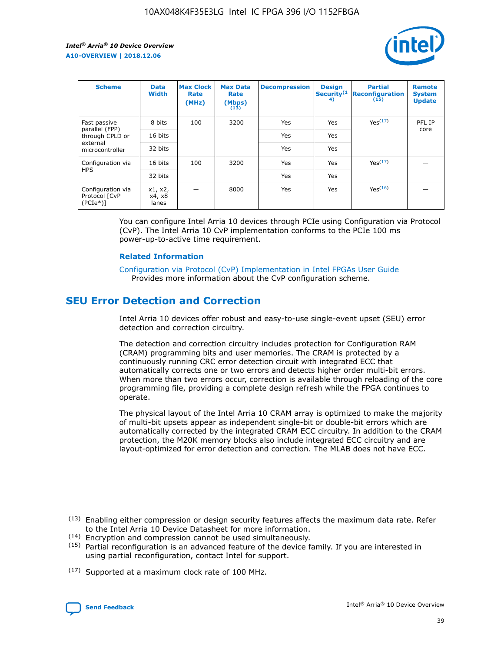

| <b>Scheme</b>                                   | <b>Data</b><br><b>Width</b> | <b>Max Clock</b><br>Rate<br>(MHz) | <b>Max Data</b><br>Rate<br>(Mbps)<br>(13) | <b>Decompression</b> | <b>Design</b><br>Security <sup>(1</sup><br>4) | <b>Partial</b><br><b>Reconfiguration</b><br>(15) | <b>Remote</b><br><b>System</b><br><b>Update</b> |
|-------------------------------------------------|-----------------------------|-----------------------------------|-------------------------------------------|----------------------|-----------------------------------------------|--------------------------------------------------|-------------------------------------------------|
| Fast passive                                    | 8 bits                      | 100                               | 3200                                      | Yes                  | Yes                                           | Yes <sup>(17)</sup>                              | PFL IP                                          |
| parallel (FPP)<br>through CPLD or               | 16 bits                     |                                   |                                           | Yes                  | Yes                                           |                                                  | core                                            |
| external<br>microcontroller                     | 32 bits                     |                                   |                                           | Yes                  | Yes                                           |                                                  |                                                 |
| Configuration via                               | 16 bits                     | 100                               | 3200                                      | Yes                  | Yes                                           | Yes <sup>(17)</sup>                              |                                                 |
| <b>HPS</b>                                      | 32 bits                     |                                   |                                           | Yes                  | Yes                                           |                                                  |                                                 |
| Configuration via<br>Protocol [CvP<br>$(PCIe*)$ | x1, x2,<br>x4, x8<br>lanes  |                                   | 8000                                      | Yes                  | Yes                                           | Yes <sup>(16)</sup>                              |                                                 |

You can configure Intel Arria 10 devices through PCIe using Configuration via Protocol (CvP). The Intel Arria 10 CvP implementation conforms to the PCIe 100 ms power-up-to-active time requirement.

#### **Related Information**

[Configuration via Protocol \(CvP\) Implementation in Intel FPGAs User Guide](https://www.intel.com/content/www/us/en/programmable/documentation/dsu1441819344145.html#dsu1442269728522) Provides more information about the CvP configuration scheme.

# **SEU Error Detection and Correction**

Intel Arria 10 devices offer robust and easy-to-use single-event upset (SEU) error detection and correction circuitry.

The detection and correction circuitry includes protection for Configuration RAM (CRAM) programming bits and user memories. The CRAM is protected by a continuously running CRC error detection circuit with integrated ECC that automatically corrects one or two errors and detects higher order multi-bit errors. When more than two errors occur, correction is available through reloading of the core programming file, providing a complete design refresh while the FPGA continues to operate.

The physical layout of the Intel Arria 10 CRAM array is optimized to make the majority of multi-bit upsets appear as independent single-bit or double-bit errors which are automatically corrected by the integrated CRAM ECC circuitry. In addition to the CRAM protection, the M20K memory blocks also include integrated ECC circuitry and are layout-optimized for error detection and correction. The MLAB does not have ECC.

(14) Encryption and compression cannot be used simultaneously.

<sup>(17)</sup> Supported at a maximum clock rate of 100 MHz.



 $(13)$  Enabling either compression or design security features affects the maximum data rate. Refer to the Intel Arria 10 Device Datasheet for more information.

 $(15)$  Partial reconfiguration is an advanced feature of the device family. If you are interested in using partial reconfiguration, contact Intel for support.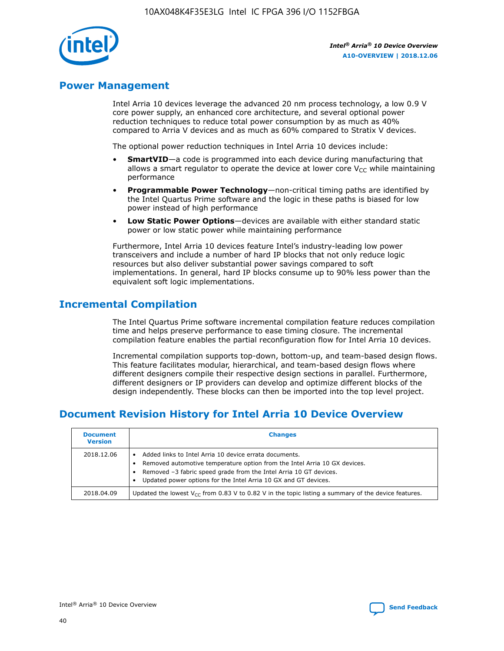

# **Power Management**

Intel Arria 10 devices leverage the advanced 20 nm process technology, a low 0.9 V core power supply, an enhanced core architecture, and several optional power reduction techniques to reduce total power consumption by as much as 40% compared to Arria V devices and as much as 60% compared to Stratix V devices.

The optional power reduction techniques in Intel Arria 10 devices include:

- **SmartVID**—a code is programmed into each device during manufacturing that allows a smart regulator to operate the device at lower core  $V_{CC}$  while maintaining performance
- **Programmable Power Technology**—non-critical timing paths are identified by the Intel Quartus Prime software and the logic in these paths is biased for low power instead of high performance
- **Low Static Power Options**—devices are available with either standard static power or low static power while maintaining performance

Furthermore, Intel Arria 10 devices feature Intel's industry-leading low power transceivers and include a number of hard IP blocks that not only reduce logic resources but also deliver substantial power savings compared to soft implementations. In general, hard IP blocks consume up to 90% less power than the equivalent soft logic implementations.

# **Incremental Compilation**

The Intel Quartus Prime software incremental compilation feature reduces compilation time and helps preserve performance to ease timing closure. The incremental compilation feature enables the partial reconfiguration flow for Intel Arria 10 devices.

Incremental compilation supports top-down, bottom-up, and team-based design flows. This feature facilitates modular, hierarchical, and team-based design flows where different designers compile their respective design sections in parallel. Furthermore, different designers or IP providers can develop and optimize different blocks of the design independently. These blocks can then be imported into the top level project.

# **Document Revision History for Intel Arria 10 Device Overview**

| <b>Document</b><br><b>Version</b> | <b>Changes</b>                                                                                                                                                                                                                                                              |
|-----------------------------------|-----------------------------------------------------------------------------------------------------------------------------------------------------------------------------------------------------------------------------------------------------------------------------|
| 2018.12.06                        | Added links to Intel Arria 10 device errata documents.<br>Removed automotive temperature option from the Intel Arria 10 GX devices.<br>Removed -3 fabric speed grade from the Intel Arria 10 GT devices.<br>Updated power options for the Intel Arria 10 GX and GT devices. |
| 2018.04.09                        | Updated the lowest $V_{CC}$ from 0.83 V to 0.82 V in the topic listing a summary of the device features.                                                                                                                                                                    |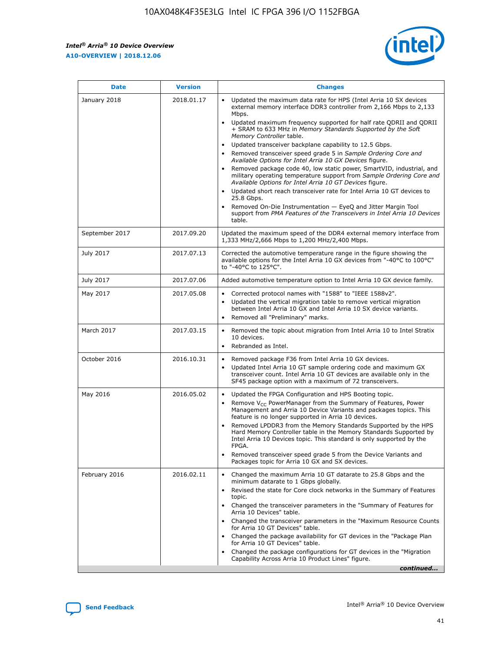

| <b>Date</b>    | <b>Version</b> | <b>Changes</b>                                                                                                                                                                                                                                                                                                                                                                                                                                                                                                                                                                                                                                                                                                                                                                                                                                                                                                                                               |
|----------------|----------------|--------------------------------------------------------------------------------------------------------------------------------------------------------------------------------------------------------------------------------------------------------------------------------------------------------------------------------------------------------------------------------------------------------------------------------------------------------------------------------------------------------------------------------------------------------------------------------------------------------------------------------------------------------------------------------------------------------------------------------------------------------------------------------------------------------------------------------------------------------------------------------------------------------------------------------------------------------------|
| January 2018   | 2018.01.17     | Updated the maximum data rate for HPS (Intel Arria 10 SX devices<br>external memory interface DDR3 controller from 2,166 Mbps to 2,133<br>Mbps.<br>Updated maximum frequency supported for half rate QDRII and QDRII<br>+ SRAM to 633 MHz in Memory Standards Supported by the Soft<br>Memory Controller table.<br>Updated transceiver backplane capability to 12.5 Gbps.<br>Removed transceiver speed grade 5 in Sample Ordering Core and<br>Available Options for Intel Arria 10 GX Devices figure.<br>Removed package code 40, low static power, SmartVID, industrial, and<br>military operating temperature support from Sample Ordering Core and<br>Available Options for Intel Arria 10 GT Devices figure.<br>Updated short reach transceiver rate for Intel Arria 10 GT devices to<br>25.8 Gbps.<br>Removed On-Die Instrumentation - EyeQ and Jitter Margin Tool<br>support from PMA Features of the Transceivers in Intel Arria 10 Devices<br>table. |
| September 2017 | 2017.09.20     | Updated the maximum speed of the DDR4 external memory interface from<br>1,333 MHz/2,666 Mbps to 1,200 MHz/2,400 Mbps.                                                                                                                                                                                                                                                                                                                                                                                                                                                                                                                                                                                                                                                                                                                                                                                                                                        |
| July 2017      | 2017.07.13     | Corrected the automotive temperature range in the figure showing the<br>available options for the Intel Arria 10 GX devices from "-40°C to 100°C"<br>to "-40°C to 125°C".                                                                                                                                                                                                                                                                                                                                                                                                                                                                                                                                                                                                                                                                                                                                                                                    |
| July 2017      | 2017.07.06     | Added automotive temperature option to Intel Arria 10 GX device family.                                                                                                                                                                                                                                                                                                                                                                                                                                                                                                                                                                                                                                                                                                                                                                                                                                                                                      |
| May 2017       | 2017.05.08     | Corrected protocol names with "1588" to "IEEE 1588v2".<br>$\bullet$<br>Updated the vertical migration table to remove vertical migration<br>$\bullet$<br>between Intel Arria 10 GX and Intel Arria 10 SX device variants.<br>Removed all "Preliminary" marks.<br>$\bullet$                                                                                                                                                                                                                                                                                                                                                                                                                                                                                                                                                                                                                                                                                   |
| March 2017     | 2017.03.15     | Removed the topic about migration from Intel Arria 10 to Intel Stratix<br>$\bullet$<br>10 devices.<br>Rebranded as Intel.<br>$\bullet$                                                                                                                                                                                                                                                                                                                                                                                                                                                                                                                                                                                                                                                                                                                                                                                                                       |
| October 2016   | 2016.10.31     | Removed package F36 from Intel Arria 10 GX devices.<br>Updated Intel Arria 10 GT sample ordering code and maximum GX<br>$\bullet$<br>transceiver count. Intel Arria 10 GT devices are available only in the<br>SF45 package option with a maximum of 72 transceivers.                                                                                                                                                                                                                                                                                                                                                                                                                                                                                                                                                                                                                                                                                        |
| May 2016       | 2016.05.02     | Updated the FPGA Configuration and HPS Booting topic.<br>$\bullet$<br>Remove V <sub>CC</sub> PowerManager from the Summary of Features, Power<br>Management and Arria 10 Device Variants and packages topics. This<br>feature is no longer supported in Arria 10 devices.<br>Removed LPDDR3 from the Memory Standards Supported by the HPS<br>Hard Memory Controller table in the Memory Standards Supported by<br>Intel Arria 10 Devices topic. This standard is only supported by the<br><b>FPGA</b><br>Removed transceiver speed grade 5 from the Device Variants and<br>Packages topic for Arria 10 GX and SX devices.                                                                                                                                                                                                                                                                                                                                   |
| February 2016  | 2016.02.11     | Changed the maximum Arria 10 GT datarate to 25.8 Gbps and the<br>$\bullet$<br>minimum datarate to 1 Gbps globally.<br>Revised the state for Core clock networks in the Summary of Features<br>$\bullet$<br>topic.<br>Changed the transceiver parameters in the "Summary of Features for<br>$\bullet$<br>Arria 10 Devices" table.<br>Changed the transceiver parameters in the "Maximum Resource Counts<br>for Arria 10 GT Devices" table.<br>Changed the package availability for GT devices in the "Package Plan<br>for Arria 10 GT Devices" table.<br>Changed the package configurations for GT devices in the "Migration"<br>Capability Across Arria 10 Product Lines" figure.<br>continued                                                                                                                                                                                                                                                               |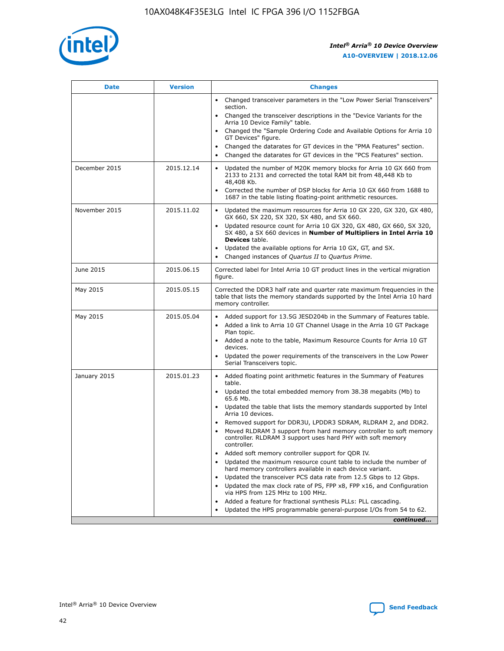

| <b>Date</b>   | <b>Version</b> | <b>Changes</b>                                                                                                                                                                   |
|---------------|----------------|----------------------------------------------------------------------------------------------------------------------------------------------------------------------------------|
|               |                | • Changed transceiver parameters in the "Low Power Serial Transceivers"<br>section.                                                                                              |
|               |                | • Changed the transceiver descriptions in the "Device Variants for the<br>Arria 10 Device Family" table.                                                                         |
|               |                | Changed the "Sample Ordering Code and Available Options for Arria 10<br>GT Devices" figure.                                                                                      |
|               |                | Changed the datarates for GT devices in the "PMA Features" section.                                                                                                              |
|               |                | Changed the datarates for GT devices in the "PCS Features" section.<br>$\bullet$                                                                                                 |
| December 2015 | 2015.12.14     | Updated the number of M20K memory blocks for Arria 10 GX 660 from<br>$\bullet$<br>2133 to 2131 and corrected the total RAM bit from 48,448 Kb to<br>48,408 Kb.                   |
|               |                | Corrected the number of DSP blocks for Arria 10 GX 660 from 1688 to<br>$\bullet$<br>1687 in the table listing floating-point arithmetic resources.                               |
| November 2015 | 2015.11.02     | Updated the maximum resources for Arria 10 GX 220, GX 320, GX 480,<br>$\bullet$<br>GX 660, SX 220, SX 320, SX 480, and SX 660.                                                   |
|               |                | Updated resource count for Arria 10 GX 320, GX 480, GX 660, SX 320,<br>$\bullet$<br>SX 480, a SX 660 devices in Number of Multipliers in Intel Arria 10<br><b>Devices</b> table. |
|               |                | Updated the available options for Arria 10 GX, GT, and SX.<br>$\bullet$                                                                                                          |
|               |                | Changed instances of Quartus II to Quartus Prime.<br>$\bullet$                                                                                                                   |
| June 2015     | 2015.06.15     | Corrected label for Intel Arria 10 GT product lines in the vertical migration<br>figure.                                                                                         |
| May 2015      | 2015.05.15     | Corrected the DDR3 half rate and quarter rate maximum frequencies in the<br>table that lists the memory standards supported by the Intel Arria 10 hard<br>memory controller.     |
| May 2015      | 2015.05.04     | • Added support for 13.5G JESD204b in the Summary of Features table.<br>• Added a link to Arria 10 GT Channel Usage in the Arria 10 GT Package<br>Plan topic.                    |
|               |                | • Added a note to the table, Maximum Resource Counts for Arria 10 GT<br>devices.                                                                                                 |
|               |                | Updated the power requirements of the transceivers in the Low Power<br>Serial Transceivers topic.                                                                                |
| January 2015  | 2015.01.23     | • Added floating point arithmetic features in the Summary of Features<br>table.                                                                                                  |
|               |                | • Updated the total embedded memory from 38.38 megabits (Mb) to<br>65.6 Mb.                                                                                                      |
|               |                | • Updated the table that lists the memory standards supported by Intel<br>Arria 10 devices.                                                                                      |
|               |                | Removed support for DDR3U, LPDDR3 SDRAM, RLDRAM 2, and DDR2.                                                                                                                     |
|               |                | Moved RLDRAM 3 support from hard memory controller to soft memory<br>controller. RLDRAM 3 support uses hard PHY with soft memory<br>controller.                                  |
|               |                | Added soft memory controller support for QDR IV.                                                                                                                                 |
|               |                | Updated the maximum resource count table to include the number of<br>hard memory controllers available in each device variant.                                                   |
|               |                | Updated the transceiver PCS data rate from 12.5 Gbps to 12 Gbps.<br>$\bullet$                                                                                                    |
|               |                | Updated the max clock rate of PS, FPP x8, FPP x16, and Configuration<br>via HPS from 125 MHz to 100 MHz.                                                                         |
|               |                | Added a feature for fractional synthesis PLLs: PLL cascading.                                                                                                                    |
|               |                | Updated the HPS programmable general-purpose I/Os from 54 to 62.                                                                                                                 |
|               |                | continued                                                                                                                                                                        |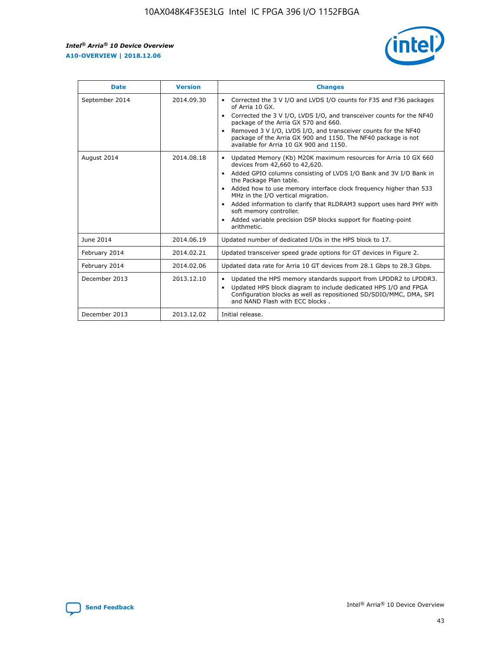r



| <b>Date</b>    | <b>Version</b> | <b>Changes</b>                                                                                                                                                                                                                                                                                                                                                                                                                                                                                                                                      |
|----------------|----------------|-----------------------------------------------------------------------------------------------------------------------------------------------------------------------------------------------------------------------------------------------------------------------------------------------------------------------------------------------------------------------------------------------------------------------------------------------------------------------------------------------------------------------------------------------------|
| September 2014 | 2014.09.30     | Corrected the 3 V I/O and LVDS I/O counts for F35 and F36 packages<br>$\bullet$<br>of Arria 10 GX.<br>Corrected the 3 V I/O, LVDS I/O, and transceiver counts for the NF40<br>$\bullet$<br>package of the Arria GX 570 and 660.<br>Removed 3 V I/O, LVDS I/O, and transceiver counts for the NF40<br>package of the Arria GX 900 and 1150. The NF40 package is not<br>available for Arria 10 GX 900 and 1150.                                                                                                                                       |
| August 2014    | 2014.08.18     | Updated Memory (Kb) M20K maximum resources for Arria 10 GX 660<br>devices from 42,660 to 42,620.<br>Added GPIO columns consisting of LVDS I/O Bank and 3V I/O Bank in<br>$\bullet$<br>the Package Plan table.<br>Added how to use memory interface clock frequency higher than 533<br>$\bullet$<br>MHz in the I/O vertical migration.<br>Added information to clarify that RLDRAM3 support uses hard PHY with<br>$\bullet$<br>soft memory controller.<br>Added variable precision DSP blocks support for floating-point<br>$\bullet$<br>arithmetic. |
| June 2014      | 2014.06.19     | Updated number of dedicated I/Os in the HPS block to 17.                                                                                                                                                                                                                                                                                                                                                                                                                                                                                            |
| February 2014  | 2014.02.21     | Updated transceiver speed grade options for GT devices in Figure 2.                                                                                                                                                                                                                                                                                                                                                                                                                                                                                 |
| February 2014  | 2014.02.06     | Updated data rate for Arria 10 GT devices from 28.1 Gbps to 28.3 Gbps.                                                                                                                                                                                                                                                                                                                                                                                                                                                                              |
| December 2013  | 2013.12.10     | Updated the HPS memory standards support from LPDDR2 to LPDDR3.<br>Updated HPS block diagram to include dedicated HPS I/O and FPGA<br>$\bullet$<br>Configuration blocks as well as repositioned SD/SDIO/MMC, DMA, SPI<br>and NAND Flash with ECC blocks.                                                                                                                                                                                                                                                                                            |
| December 2013  | 2013.12.02     | Initial release.                                                                                                                                                                                                                                                                                                                                                                                                                                                                                                                                    |